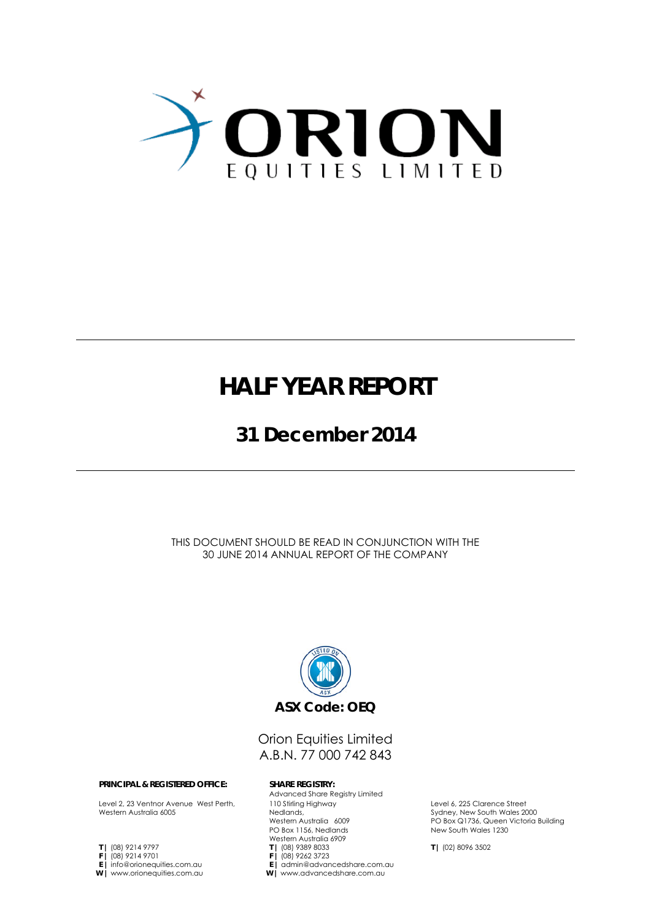

## **HALF YEAR REPORT**

### **31 December 2014**

THIS DOCUMENT SHOULD BE READ IN CONJUNCTION WITH THE 30 JUNE 2014 ANNUAL REPORT OF THE COMPANY



### Orion Equities Limited A.B.N. 77 000 742 843

Advanced Share Registry Limited

#### **PRINCIPAL & REGISTERED OFFICE: SHARE REGISTRY:**

Level 2, 23 Ventnor Avenue West Perth, Western Australia 6005

- **T |** (08) 9214 9797
- **F |** (08) 9214 9701
- **E |** info@orionequities.com.au
- **W |** www.orionequities.com.au
- Western Australia 6909 **T |** (08) 9389 8033

110 Stirling Highway Nedlands,

Western Australia 6009 PO Box 1156, Nedlands

- **F |** (08) 9262 3723
- **E |** admin@advancedshare.com.au
- **W |** www.advancedshare.com.au

Level 6, 225 Clarence Street Sydney, New South Wales 2000 PO Box Q1736, Queen Victoria Building New South Wales 1230

**T |** (02) 8096 3502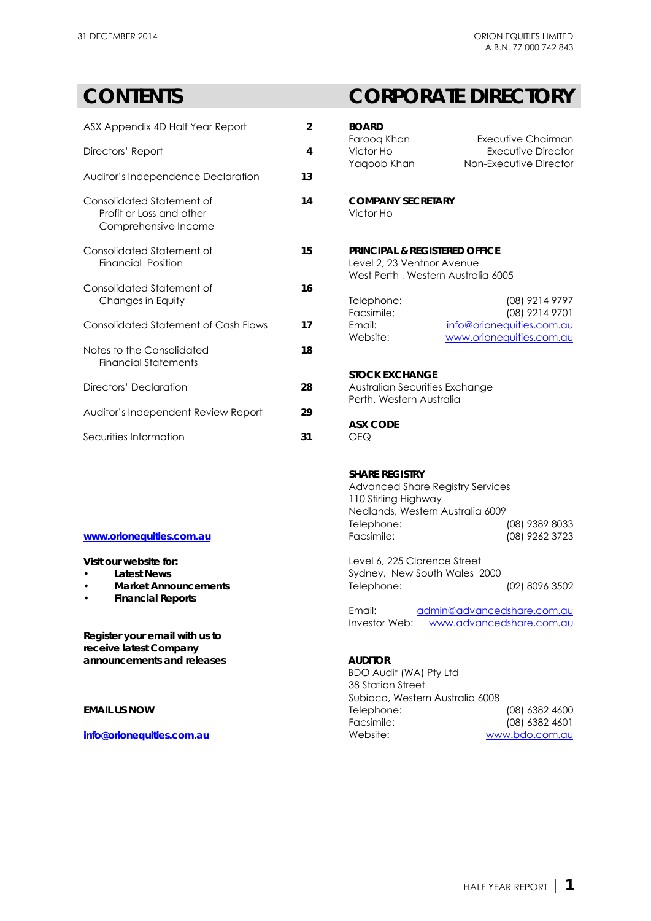### **CONTENTS CORPORATE DIRECTORY**

| ASX Appendix 4D Half Year Report                                              | $\mathfrak{p}$ | <b>BOARD</b>                                                                                                 | Executive Chairman                                    |  |
|-------------------------------------------------------------------------------|----------------|--------------------------------------------------------------------------------------------------------------|-------------------------------------------------------|--|
| Directors' Report                                                             | 4              | Faroog Khan<br>Victor Ho<br>Yaqoob Khan                                                                      | Executive Director<br>Non-Executive Director          |  |
| Auditor's Independence Declaration                                            | 13             |                                                                                                              |                                                       |  |
| Consolidated Statement of<br>Profit or Loss and other<br>Comprehensive Income | 14             | <b>COMPANY SECRETARY</b><br>Victor Ho                                                                        |                                                       |  |
| Consolidated Statement of<br>Financial Position                               | 15             | <b>PRINCIPAL &amp; REGISTERED OFFICE</b><br>Level 2, 23 Ventnor Avenue<br>West Perth, Western Australia 6005 |                                                       |  |
| Consolidated Statement of                                                     | 16             |                                                                                                              |                                                       |  |
| Changes in Equity                                                             |                | Telephone:<br>Facsimile:                                                                                     | (08) 9214 9797<br>(08) 9214 9701                      |  |
| Consolidated Statement of Cash Flows                                          | 17             | Email:<br>Website:                                                                                           | info@orionequities.com.au<br>www.orionequities.com.au |  |
| Notes to the Consolidated<br><b>Financial Statements</b>                      | 18             |                                                                                                              |                                                       |  |
|                                                                               |                | <b>STOCK EXCHANGE</b>                                                                                        |                                                       |  |
| Directors' Declaration                                                        | 28             | Australian Securities Exchange<br>Perth, Western Australia                                                   |                                                       |  |
| Auditor's Independent Review Report                                           | 29             |                                                                                                              |                                                       |  |
|                                                                               |                | <b>ASX CODE</b>                                                                                              |                                                       |  |
| Securities Information                                                        | 31             | <b>OEQ</b>                                                                                                   |                                                       |  |

- 
- 
- **Financial Reports**

**Register your email with us to receive latest Company** announcements and releases **AUDITOR** 

| BOARD<br>Faroog Khan<br>Victor Ho<br>Yaqoob Khan | Executive Chairman<br>Executive Director<br>Non-Executive Director |
|--------------------------------------------------|--------------------------------------------------------------------|
| COMPANY SFCRFTARY<br>Victor Ho                   |                                                                    |

### **PRINCIPAL & REGISTERED OFFICE** Level 2, 23 Ventnor Avenue West Perth , Western Australia 6005

| 100172177777              |
|---------------------------|
| (08) 9214 9701            |
| info@orionequities.com.au |
| www.orionequities.com.au  |
|                           |

### **STOCK EXCHANGE**

### **ASX CODE**

### **SHARE REGISTRY**

Advanced Share Registry Services 110 Stirling Highway Nedlands, Western Australia 6009 Telephone: (08) 9389 8033<br>
Facsimile: (08) 9262 3723 **[www.orionequities.com.au](http://www.orionequities.com.au/)** Facsimile: (08) 9262 3723

**Visit our website for:**  $\qquad \qquad$  Level 6, 225 Clarence Street **Latest News Sydney, New South Wales 2000 Market Announcements** Telephone: (02) 8096 3502

> Email: [admin@advancedshare.com.au](mailto:admin@advancedshare.com.au) Investor Web: [www.advancedshare.com.au](http://www.advancedshare.com.au/)

BDO Audit (WA) Pty Ltd 38 Station Street Subiaco, Western Australia 6008 **EMAIL US NOW 19 | Telephone:** (08) 6382 4600 Facsimile: (08) 6382 4601<br>Website: www.bdo.com.au **[info@orionequities.com.au](mailto:info@orionequities.com.au) Mebsite:** Website: [www.bdo.com.au](http://www.bdo.com.au/)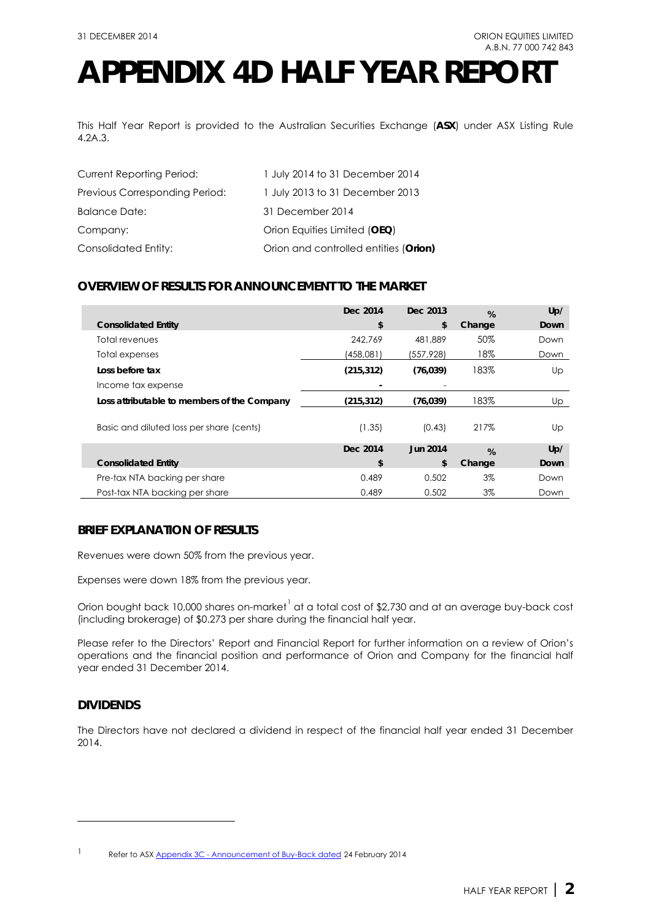## **APPENDIX 4D HALF YEAR REPORT**

This Half Year Report is provided to the Australian Securities Exchange (**ASX**) under ASX Listing Rule 4.2A.3.

| <b>Current Reporting Period:</b> | 1 July 2014 to 31 December 2014       |
|----------------------------------|---------------------------------------|
| Previous Corresponding Period:   | 1 July 2013 to 31 December 2013       |
| <b>Balance Date:</b>             | 31 December 2014                      |
| Company:                         | Orion Equities Limited (OEQ)          |
| Consolidated Entity:             | Orion and controlled entities (Orion) |

### **OVERVIEW OF RESULTS FOR ANNOUNCEMENT TO THE MARKET**

|                                             | Dec 2014   | Dec. 2013       | %      | Up/         |
|---------------------------------------------|------------|-----------------|--------|-------------|
| <b>Consolidated Entity</b>                  | \$         | \$              | Change | <b>Down</b> |
| Total revenues                              | 242.769    | 481,889         | 50%    | Down        |
| Total expenses                              | (458,081)  | (557,928)       | 18%    | Down        |
| Loss before tax                             | (215, 312) | (76, 039)       | 183%   | Up          |
| Income tax expense                          |            |                 |        |             |
| Loss attributable to members of the Company | (215, 312) | (76, 039)       | 183%   | Up          |
| Basic and diluted loss per share (cents)    | (1.35)     | (0.43)          | 217%   | Up          |
|                                             | Dec 2014   | <b>Jun 2014</b> | %      | Up/         |
| <b>Consolidated Entity</b>                  | \$         | \$              | Change | <b>Down</b> |
| Pre-tax NTA backing per share               | 0.489      | 0.502           | $3\%$  | Down        |
| Post-tax NTA backing per share              | 0.489      | 0.502           | 3%     | Down        |

### **BRIEF EXPLANATION OF RESULTS**

Revenues were down 50% from the previous year.

Expenses were down 18% from the previous year.

Orion bought back [1](#page-2-0)0,000 shares on-market $^1$  at a total cost of \$2,730 and at an average buy-back cost (including brokerage) of \$0.273 per share during the financial half year.

Please refer to the Directors' Report and Financial Report for further information on a review of Orion's operations and the financial position and performance of Orion and Company for the financial half year ended 31 December 2014.

### **DIVIDENDS**

-

The Directors have not declared a dividend in respect of the financial half year ended 31 December 2014.

<span id="page-2-0"></span><sup>1</sup> Refer to ASX Appendix 3C - [Announcement of Buy-Back dated](http://orionequities.com.au/sites/default/files/20140224%20OEQ%20ASX%20Appendix%203C%20-%20Announcement%20of%20Buy-Back%20-%20Additional%20Buy-Back.pdf) 24 February 2014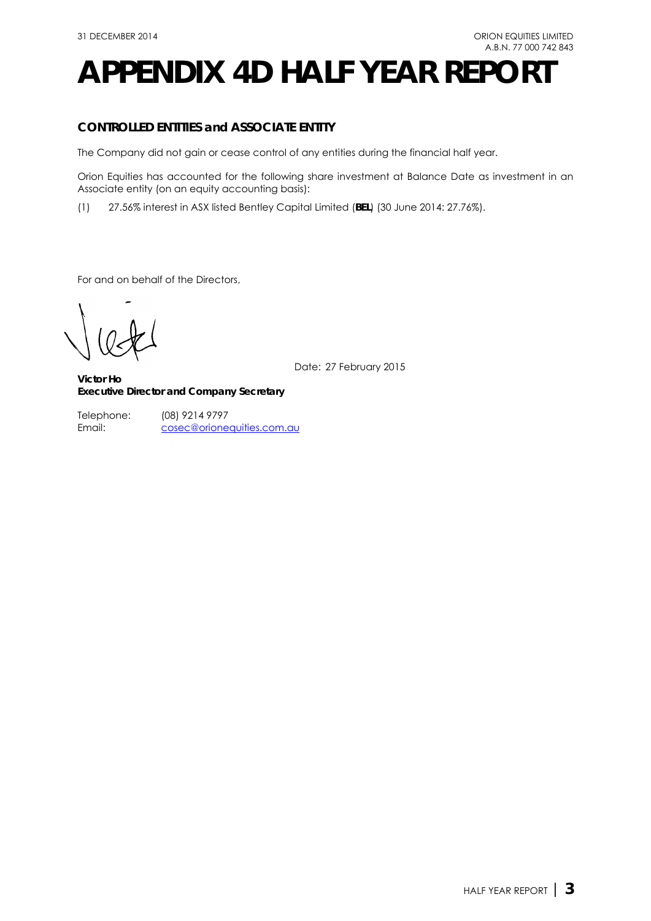## **APPENDIX 4D HALF YEAR REPORT**

### **CONTROLLED ENTITIES and ASSOCIATE ENTITY**

The Company did not gain or cease control of any entities during the financial half year.

Orion Equities has accounted for the following share investment at Balance Date as investment in an Associate entity (on an equity accounting basis):

(1) 27.56% interest in ASX listed Bentley Capital Limited (**BEL**) (30 June 2014: 27.76%).

For and on behalf of the Directors,

Date: 27 February 2015

**Victor Ho Executive Director and Company Secretary**

(08) 9214 9797 [cosec@orionequities.com.au](mailto:vho@orionequities.com.au) Telephone: Email: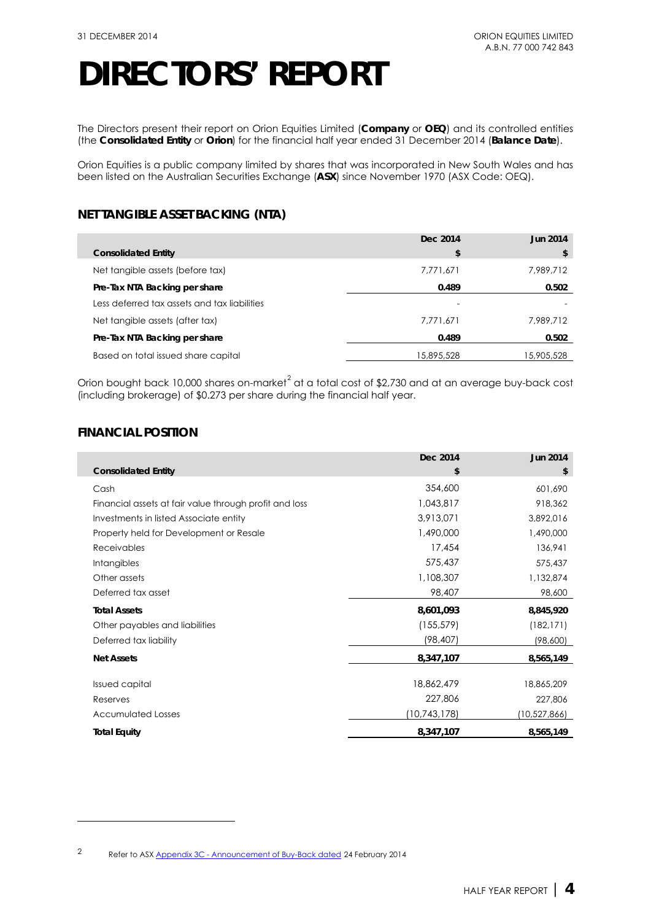The Directors present their report on Orion Equities Limited (**Company** or **OEQ**) and its controlled entities (the **Consolidated Entity** or **Orion**) for the financial half year ended 31 December 2014 (**Balance Date**).

Orion Equities is a public company limited by shares that was incorporated in New South Wales and has been listed on the Australian Securities Exchange (**ASX**) since November 1970 (ASX Code: OEQ).

### **NET TANGIBLE ASSET BACKING (NTA)**

|                                              | Dec 2014   | <b>Jun 2014</b> |
|----------------------------------------------|------------|-----------------|
| <b>Consolidated Entity</b>                   | \$         | \$              |
| Net tangible assets (before tax)             | 7,771,671  | 7,989,712       |
| Pre-Tax NTA Backing per share                | 0.489      | 0.502           |
| Less deferred tax assets and tax liabilities |            |                 |
| Net tangible assets (after tax)              | 7.771.671  | 7.989.712       |
| Pre-Tax NTA Backing per share                | 0.489      | 0.502           |
| Based on total issued share capital          | 15,895,528 | 15,905,528      |

Orion bought back 10,000 shares on-market<sup>[2](#page-4-0)</sup> at a total cost of \$2,730 and at an average buy-back cost (including brokerage) of \$0.273 per share during the financial half year.

### **FINANCIAL POSITION**

-

|                                                        | Dec 2014     | <b>Jun 2014</b> |
|--------------------------------------------------------|--------------|-----------------|
| <b>Consolidated Entity</b>                             | \$           | \$              |
| Cash                                                   | 354,600      | 601,690         |
| Financial assets at fair value through profit and loss | 1,043,817    | 918,362         |
| Investments in listed Associate entity                 | 3,913,071    | 3,892,016       |
| Property held for Development or Resale                | 1,490,000    | 1,490,000       |
| Receivables                                            | 17,454       | 136,941         |
| <b>Intangibles</b>                                     | 575,437      | 575,437         |
| Other assets                                           | 1,108,307    | 1,132,874       |
| Deferred tax asset                                     | 98,407       | 98,600          |
| <b>Total Assets</b>                                    | 8,601,093    | 8,845,920       |
| Other payables and liabilities                         | (155, 579)   | (182, 171)      |
| Deferred tax liability                                 | (98,407)     | (98,600)        |
| <b>Net Assets</b>                                      | 8,347,107    | 8,565,149       |
| <b>Issued capital</b>                                  | 18,862,479   | 18,865,209      |
| Reserves                                               | 227,806      | 227,806         |
| <b>Accumulated Losses</b>                              | (10,743,178) | (10,527,866)    |
| <b>Total Equity</b>                                    | 8,347,107    | 8,565,149       |

<span id="page-4-0"></span><sup>2</sup> Refer to ASX Appendix 3C - [Announcement of Buy-Back dated](http://orionequities.com.au/sites/default/files/20140224%20OEQ%20ASX%20Appendix%203C%20-%20Announcement%20of%20Buy-Back%20-%20Additional%20Buy-Back.pdf) 24 February 2014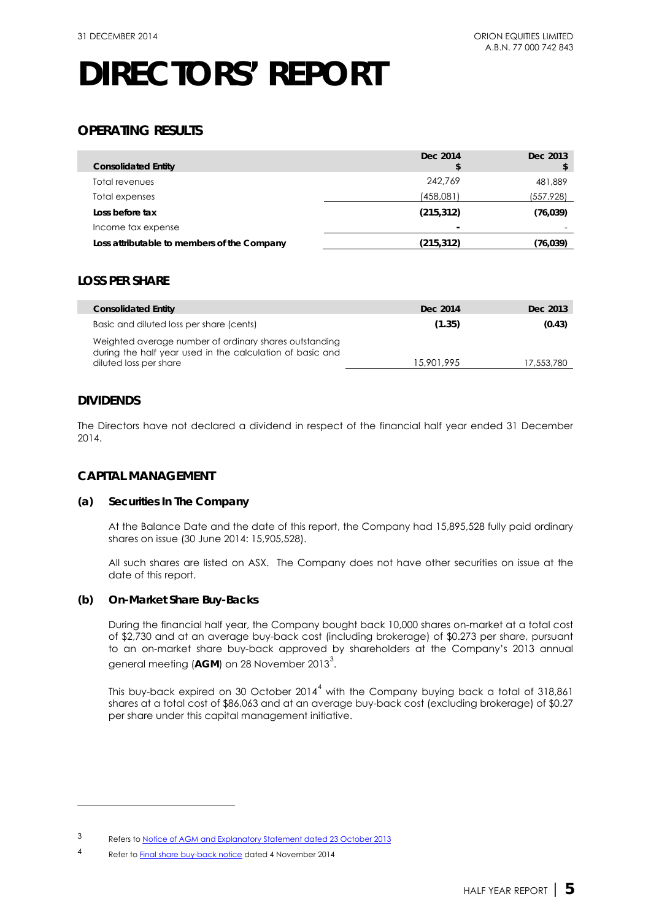### **OPERATING RESULTS**

| <b>Consolidated Entity</b>                  | Dec 2014<br>S            | Dec 2013  |
|---------------------------------------------|--------------------------|-----------|
| Total revenues                              | 242.769                  | 481,889   |
| Total expenses                              | (458,081)                | (557,928) |
| Loss before tax                             | (215, 312)               | (76, 039) |
| Income tax expense                          | $\overline{\phantom{0}}$ |           |
| Loss attributable to members of the Company | (215, 312)               | (76,039)  |

### **LOSS PER SHARE**

| <b>Consolidated Entity</b>                                                                                                                    | Dec 2014   | Dec 2013   |
|-----------------------------------------------------------------------------------------------------------------------------------------------|------------|------------|
| Basic and diluted loss per share (cents)                                                                                                      | (1.35)     | (0.43)     |
| Weighted average number of ordinary shares outstanding<br>during the half year used in the calculation of basic and<br>diluted loss per share | 15,901,995 | 17,553,780 |

### **DIVIDENDS**

-

The Directors have not declared a dividend in respect of the financial half year ended 31 December 2014.

### **CAPITAL MANAGEMENT**

### **(a) Securities In The Company**

At the Balance Date and the date of this report, the Company had 15,895,528 fully paid ordinary shares on issue (30 June 2014: 15,905,528).

All such shares are listed on ASX. The Company does not have other securities on issue at the date of this report.

### **(b) On-Market Share Buy-Backs**

During the financial half year, the Company bought back 10,000 shares on-market at a total cost of \$2,730 and at an average buy-back cost (including brokerage) of \$0.273 per share, pursuant to an on-market share buy-back approved by shareholders at the Company's 2013 annual general meeting (**AGM**) on 28 November 201[3](#page-5-0) $^3$ .

This buy-back expired on 30 October  $2014<sup>4</sup>$  $2014<sup>4</sup>$  $2014<sup>4</sup>$  with the Company buying back a total of 318,861 shares at a total cost of \$86,063 and at an average buy-back cost (excluding brokerage) of \$0.27 per share under this capital management initiative.

<span id="page-5-0"></span><sup>3</sup> Refers t[o Notice of AGM and Explanatory Statement dated 23 October 2013](http://www.orionequities.com.au/sites/default/files/20131030%20OEQ%20ASX%202013%20Notice%20of%20AGM%20and%20Proxy%20Form.pdf)

<span id="page-5-1"></span><sup>4</sup> Refer t[o Final share buy-back notice](http://orionequities.com.au/sites/default/files/20141104%20OEQ%20ASX%20Appendix%203F%20-%20Final%20Share%20Buy-Back%20Notice.pdf) dated 4 November 2014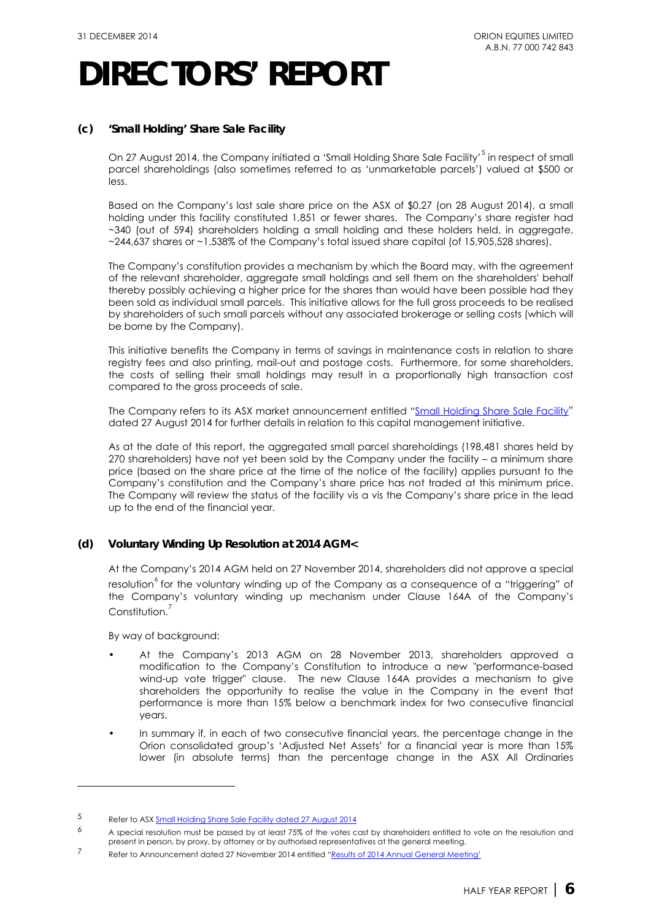### **(c) 'Small Holding' Share Sale Facility**

On 27 August 2014, the Company initiated a 'Small Holding Share Sale Facility'<sup>[5](#page-6-0)</sup> in respect of small parcel shareholdings (also sometimes referred to as 'unmarketable parcels') valued at \$500 or less.

Based on the Company's last sale share price on the ASX of \$0.27 (on 28 August 2014), a small holding under this facility constituted 1,851 or fewer shares. The Company's share register had ~340 (out of 594) shareholders holding a small holding and these holders held, in aggregate, ~244,637 shares or ~1.538% of the Company's total issued share capital (of 15,905,528 shares).

The Company's constitution provides a mechanism by which the Board may, with the agreement of the relevant shareholder, aggregate small holdings and sell them on the shareholders' behalf thereby possibly achieving a higher price for the shares than would have been possible had they been sold as individual small parcels. This initiative allows for the full gross proceeds to be realised by shareholders of such small parcels without any associated brokerage or selling costs (which will be borne by the Company).

This initiative benefits the Company in terms of savings in maintenance costs in relation to share registry fees and also printing, mail-out and postage costs. Furthermore, for some shareholders, the costs of selling their small holdings may result in a proportionally high transaction cost compared to the gross proceeds of sale.

The Company refers to its ASX market announcement entitled ["Small Holding Share Sale Facility"](http://orionequities.com.au/sites/default/files/20140827%20OEQ%20ASX%20Small%20Holding%20%28Unmarketable%20Parcel%29%20Sale%20Facility.pdf) dated 27 August 2014 for further details in relation to this capital management initiative.

As at the date of this report, the aggregated small parcel shareholdings (198,481 shares held by 270 shareholders) have not yet been sold by the Company under the facility – a minimum share price (based on the share price at the time of the notice of the facility) applies pursuant to the Company's constitution and the Company's share price has not traded at this minimum price. The Company will review the status of the facility vis a vis the Company's share price in the lead up to the end of the financial year.

### **(d) Voluntary Winding Up Resolution at 2014 AGM<**

At the Company's 2014 AGM held on 27 November 2014, shareholders did not approve a special resolution<sup>°</sup> for the voluntary winding up of the Company as a consequence of a "triggering" of the Company's voluntary winding up mechanism under Clause 164A of the Company's Constitution.<sup>[7](#page-6-2)</sup>

By way of background:

-

- At the Company's 2013 AGM on 28 November 2013, shareholders approved a modification to the Company's Constitution to introduce a new "performance-based wind-up vote trigger" clause. The new Clause 164A provides a mechanism to give shareholders the opportunity to realise the value in the Company in the event that performance is more than 15% below a benchmark index for two consecutive financial years.
- In summary if, in each of two consecutive financial years, the percentage change in the Orion consolidated group's 'Adjusted Net Assets' for a financial year is more than 15% lower (in absolute terms) than the percentage change in the ASX All Ordinaries

<span id="page-6-0"></span><sup>5</sup> Refer to AS[X Small Holding Share Sale Facility dated 27 August 2014](http://orionequities.com.au/sites/default/files/20140827%20OEQ%20ASX%20Small%20Holding%20%28Unmarketable%20Parcel%29%20Sale%20Facility.pdf)

<span id="page-6-1"></span> $6$  A special resolution must be passed by at least 75% of the votes cast by shareholders entitled to vote on the resolution and present in person, by proxy, by attorney or by authorised representatives at the general meeting.

<span id="page-6-2"></span><sup>7</sup> Refer to Announcement dated 27 November 2014 entitled ["Results of 2014 Annual General Meeting'](http://orionequities.com.au/sites/default/files/20141127%20OEQ%20ASX%20Results%20of%202014%20AGM.pdf)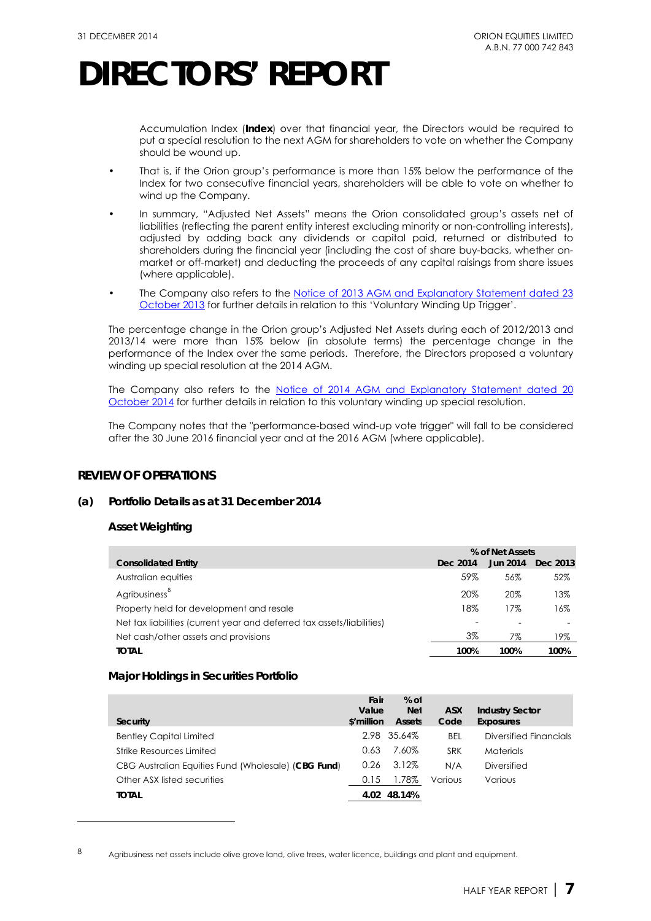Accumulation Index (**Index**) over that financial year, the Directors would be required to put a special resolution to the next AGM for shareholders to vote on whether the Company should be wound up.

- That is, if the Orion group's performance is more than 15% below the performance of the Index for two consecutive financial years, shareholders will be able to vote on whether to wind up the Company.
- In summary, "Adjusted Net Assets" means the Orion consolidated group's assets net of liabilities (reflecting the parent entity interest excluding minority or non-controlling interests), adjusted by adding back any dividends or capital paid, returned or distributed to shareholders during the financial year (including the cost of share buy-backs, whether onmarket or off-market) and deducting the proceeds of any capital raisings from share issues (where applicable).
- The Company also refers to the Notice of 2013 AGM and Explanatory Statement dated 23 [October 2013](http://www.orionequities.com.au/sites/default/files/20131030%20OEQ%20ASX%202013%20Notice%20of%20AGM%20and%20Proxy%20Form.pdf) for further details in relation to this 'Voluntary Winding Up Trigger'.

The percentage change in the Orion group's Adjusted Net Assets during each of 2012/2013 and 2013/14 were more than 15% below (in absolute terms) the percentage change in the performance of the Index over the same periods. Therefore, the Directors proposed a voluntary winding up special resolution at the 2014 AGM.

The Company also refers to the Notice of 2014 [AGM and Explanatory Statement dated 20](http://orionequities.com.au/sites/default/files/20141023%20OEQ%20ASX%202014%20Notice%20of%20AGM%20Explanatory%20Statement%20and%20Proxy%20Form.pdf) [October 2014](http://orionequities.com.au/sites/default/files/20141023%20OEQ%20ASX%202014%20Notice%20of%20AGM%20Explanatory%20Statement%20and%20Proxy%20Form.pdf) for further details in relation to this voluntary winding up special resolution.

The Company notes that the "performance-based wind-up vote trigger" will fall to be considered after the 30 June 2016 financial year and at the 2016 AGM (where applicable).

### **REVIEW OF OPERATIONS**

### **(a) Portfolio Details as at 31 December 2014**

### **Asset Weighting**

-

|                                                                        | % of Net Assets |                 |          |
|------------------------------------------------------------------------|-----------------|-----------------|----------|
| <b>Consolidated Entity</b>                                             | Dec 2014        | <b>Jun 2014</b> | Dec 2013 |
| Australian equities                                                    | 59%             | 56%             | 52%      |
| Agribusiness <sup>8</sup>                                              | 20%             | 20%             | 13%      |
| Property held for development and resale                               | 18%             | 17%             | 16%      |
| Net tax liabilities (current year and deferred tax assets/liabilities) |                 |                 |          |
| Net cash/other assets and provisions                                   | 3%              | 7%              | 19%      |
| <b>TOTAL</b>                                                           | 100%            | 100%            | 100%     |

### **Major Holdings in Securities Portfolio**

| Security                                            | Fair<br>Value<br>\$'million | $%$ of<br><b>Net</b><br><b>Assets</b> | <b>ASX</b><br>Code | <b>Industry Sector</b><br><b>Exposures</b> |
|-----------------------------------------------------|-----------------------------|---------------------------------------|--------------------|--------------------------------------------|
| <b>Bentley Capital Limited</b>                      |                             | 2.98 35.64%                           | <b>BEL</b>         | Diversified Financials                     |
| Strike Resources Limited                            | 0.63                        | 7.60%                                 | <b>SRK</b>         | <b>Materials</b>                           |
| CBG Australian Equities Fund (Wholesale) (CBG Fund) | 0.26                        | 3.12%                                 | N/A                | Diversified                                |
| Other ASX listed securities                         | 0.15                        | 1.78%                                 | Various            | Various                                    |
| <b>TOTAL</b>                                        | 4.02                        | 48.14%                                |                    |                                            |

<span id="page-7-0"></span><sup>8</sup> Agribusiness net assets include olive grove land, olive trees, water licence, buildings and plant and equipment.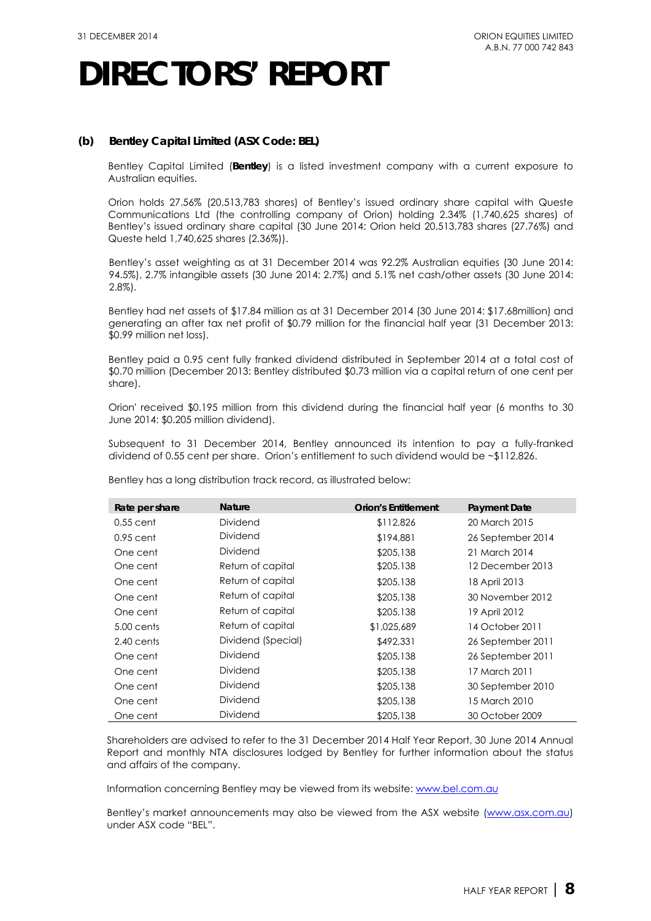### **(b) Bentley Capital Limited (ASX Code: BEL)**

Bentley Capital Limited (**Bentley**) is a listed investment company with a current exposure to Australian equities.

Orion holds 27.56% (20,513,783 shares) of Bentley's issued ordinary share capital with Queste Communications Ltd (the controlling company of Orion) holding 2.34% (1,740,625 shares) of Bentley's issued ordinary share capital (30 June 2014: Orion held 20,513,783 shares (27.76%) and Queste held 1,740,625 shares (2.36%)).

Bentley's asset weighting as at 31 December 2014 was 92.2% Australian equities (30 June 2014: 94.5%), 2.7% intangible assets (30 June 2014: 2.7%) and 5.1% net cash/other assets (30 June 2014: 2.8%).

Bentley had net assets of \$17.84 million as at 31 December 2014 (30 June 2014: \$17.68million) and generating an after tax net profit of \$0.79 million for the financial half year (31 December 2013: \$0.99 million net loss).

Bentley paid a 0.95 cent fully franked dividend distributed in September 2014 at a total cost of \$0.70 million (December 2013: Bentley distributed \$0.73 million via a capital return of one cent per share).

Orion' received \$0.195 million from this dividend during the financial half year (6 months to 30 June 2014: \$0.205 million dividend).

Subsequent to 31 December 2014, Bentley announced its intention to pay a fully-franked dividend of 0.55 cent per share. Orion's entitlement to such dividend would be ~\$112,826.

| Rate per share | <b>Nature</b>      | <b>Orion's Entitlement</b> | <b>Payment Date</b> |
|----------------|--------------------|----------------------------|---------------------|
| $0.55$ cent    | Dividend           | \$112,826                  | 20 March 2015       |
| $0.95$ cent    | Dividend           | \$194,881                  | 26 September 2014   |
| One cent       | Dividend           | \$205,138                  | 21 March 2014       |
| One cent       | Return of capital  | \$205,138                  | 12 December 2013    |
| One cent       | Return of capital  | \$205,138                  | 18 April 2013       |
| One cent       | Return of capital  | \$205,138                  | 30 November 2012    |
| One cent       | Return of capital  | \$205,138                  | 19 April 2012       |
| 5.00 cents     | Return of capital  | \$1,025,689                | 14 October 2011     |
| 2.40 cents     | Dividend (Special) | \$492,331                  | 26 September 2011   |
| One cent       | Dividend           | \$205,138                  | 26 September 2011   |
| One cent       | Dividend           | \$205,138                  | 17 March 2011       |
| One cent       | Dividend           | \$205,138                  | 30 September 2010   |
| One cent       | Dividend           | \$205,138                  | 15 March 2010       |
| One cent       | Dividend           | \$205,138                  | 30 October 2009     |

Bentley has a long distribution track record, as illustrated below:

Shareholders are advised to refer to the 31 December 2014 Half Year Report, 30 June 2014 Annual Report and monthly NTA disclosures lodged by Bentley for further information about the status and affairs of the company.

Information concerning Bentley may be viewed from its website: [www.bel.com.au](http://www.bel.com.au/) 

Bentley's market announcements may also be viewed from the ASX website [\(www.asx.com.au\)](http://www.asx.com.au/) under ASX code "BEL".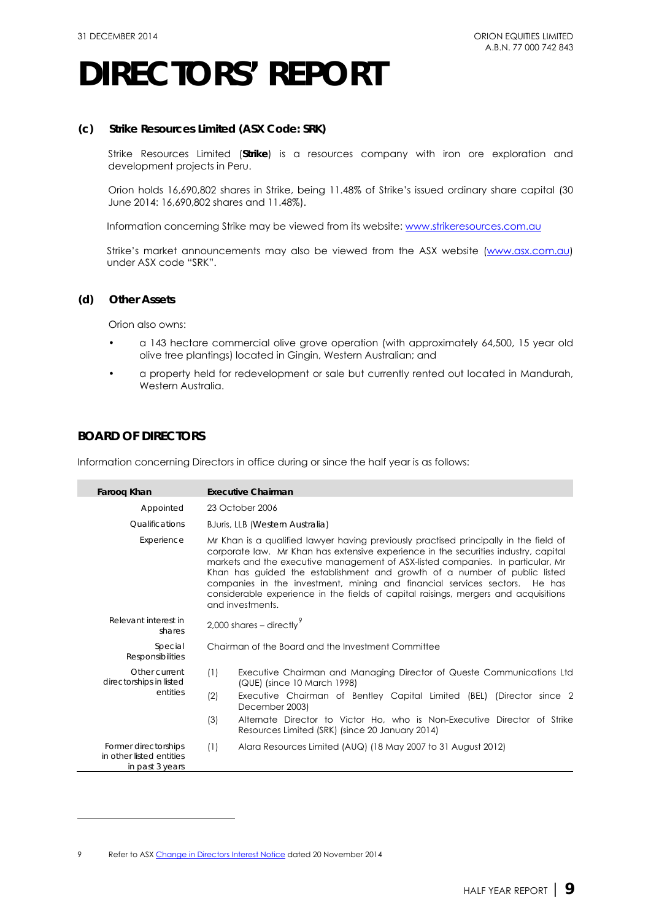### **(c) Strike Resources Limited (ASX Code: SRK)**

Strike Resources Limited (**Strike**) is a resources company with iron ore exploration and development projects in Peru.

Orion holds 16,690,802 shares in Strike, being 11.48% of Strike's issued ordinary share capital (30 June 2014: 16,690,802 shares and 11.48%).

Information concerning Strike may be viewed from its website: [www.strikeresources.com.au](http://www.strikeresources.com.au/) 

Strike's market announcements may also be viewed from the ASX website [\(www.asx.com.au\)](http://www.asx.com.au/) under ASX code "SRK".

### **(d) Other Assets**

Orion also owns:

- a 143 hectare commercial olive grove operation (with approximately 64,500, 15 year old olive tree plantings) located in Gingin, Western Australian; and
- a property held for redevelopment or sale but currently rented out located in Mandurah, Western Australia.

### **BOARD OF DIRECTORS**

-

Information concerning Directors in office during or since the half year is as follows:

| Farooq Khan                                                         | <b>Executive Chairman</b>                                                                                                                                                                                                                                                                                                                                                                                                                                                                                                                |  |  |  |
|---------------------------------------------------------------------|------------------------------------------------------------------------------------------------------------------------------------------------------------------------------------------------------------------------------------------------------------------------------------------------------------------------------------------------------------------------------------------------------------------------------------------------------------------------------------------------------------------------------------------|--|--|--|
| Appointed                                                           | 23 October 2006                                                                                                                                                                                                                                                                                                                                                                                                                                                                                                                          |  |  |  |
| Qualifications                                                      | BJuris, LLB (Western Australia)                                                                                                                                                                                                                                                                                                                                                                                                                                                                                                          |  |  |  |
| Experience                                                          | Mr Khan is a qualified lawyer having previously practised principally in the field of<br>corporate law. Mr Khan has extensive experience in the securities industry, capital<br>markets and the executive management of ASX-listed companies. In particular, Mr<br>Khan has guided the establishment and growth of a number of public listed<br>companies in the investment, mining and financial services sectors.<br>He has<br>considerable experience in the fields of capital raisings, mergers and acquisitions<br>and investments. |  |  |  |
| Relevant interest in<br>shares                                      | 2,000 shares $-$ directly                                                                                                                                                                                                                                                                                                                                                                                                                                                                                                                |  |  |  |
| Special<br><b>Responsibilities</b>                                  | Chairman of the Board and the Investment Committee                                                                                                                                                                                                                                                                                                                                                                                                                                                                                       |  |  |  |
| Other current<br>directorships in listed                            | (1)<br>Executive Chairman and Managing Director of Queste Communications Ltd<br>(QUE) (since 10 March 1998)                                                                                                                                                                                                                                                                                                                                                                                                                              |  |  |  |
| entities                                                            | (2)<br>Executive Chairman of Bentley Capital Limited (BEL) (Director since 2<br>December 2003)                                                                                                                                                                                                                                                                                                                                                                                                                                           |  |  |  |
|                                                                     | (3)<br>Alternate Director to Victor Ho, who is Non-Executive Director of Strike<br>Resources Limited (SRK) (since 20 January 2014)                                                                                                                                                                                                                                                                                                                                                                                                       |  |  |  |
| Former directorships<br>in other listed entities<br>in past 3 years | (1)<br>Alara Resources Limited (AUQ) (18 May 2007 to 31 August 2012)                                                                                                                                                                                                                                                                                                                                                                                                                                                                     |  |  |  |

<span id="page-9-0"></span><sup>9</sup> Refer to AS[X Change in Directors Interest Notice](http://orionequities.com.au/sites/default/files/20141120%20OEQ%20Appendix%203Y%20-%20Change%20of%20Directors%20Interest%20Notice%20-%20F%20Khan.pdf) dated 20 November 2014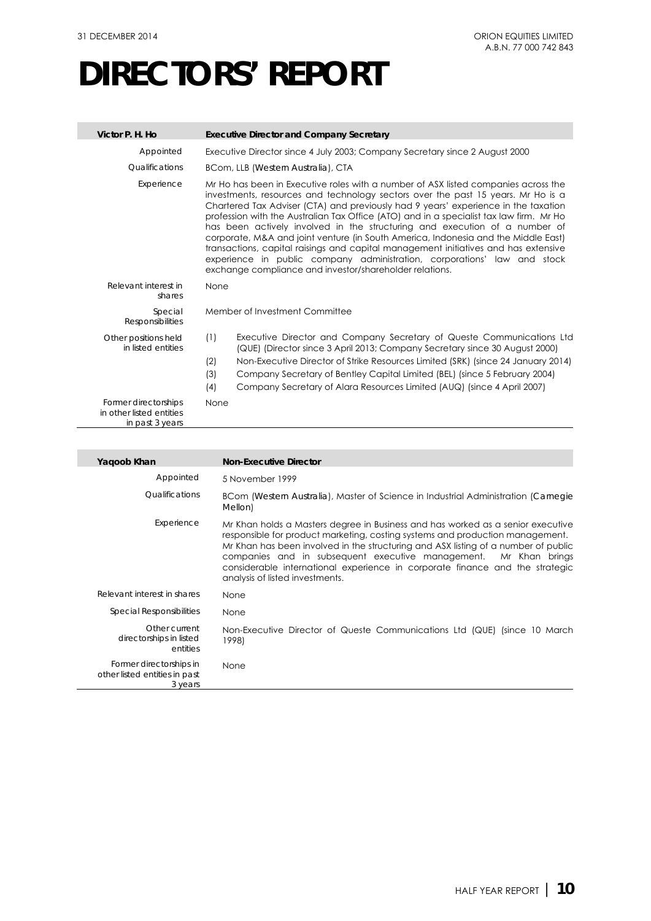| Victor P. H. Ho                                                     | <b>Executive Director and Company Secretary</b>                                                                                                                                                                                                                                                                                                                                                                                                                                                                                                                                                                                                                                                                                                           |  |
|---------------------------------------------------------------------|-----------------------------------------------------------------------------------------------------------------------------------------------------------------------------------------------------------------------------------------------------------------------------------------------------------------------------------------------------------------------------------------------------------------------------------------------------------------------------------------------------------------------------------------------------------------------------------------------------------------------------------------------------------------------------------------------------------------------------------------------------------|--|
| Appointed                                                           | Executive Director since 4 July 2003; Company Secretary since 2 August 2000                                                                                                                                                                                                                                                                                                                                                                                                                                                                                                                                                                                                                                                                               |  |
| Qualifications                                                      | BCom, LLB (Western Australia), CTA                                                                                                                                                                                                                                                                                                                                                                                                                                                                                                                                                                                                                                                                                                                        |  |
| Experience                                                          | Mr Ho has been in Executive roles with a number of ASX listed companies across the<br>investments, resources and technology sectors over the past 15 years. Mr Ho is a<br>Chartered Tax Adviser (CTA) and previously had 9 years' experience in the taxation<br>profession with the Australian Tax Office (ATO) and in a specialist tax law firm. Mr Ho<br>has been actively involved in the structuring and execution of a number of<br>corporate, M&A and joint venture (in South America, Indonesia and the Middle East)<br>transactions, capital raisings and capital management initiatives and has extensive<br>experience in public company administration, corporations' law and stock<br>exchange compliance and investor/shareholder relations. |  |
| Relevant interest in<br>shares                                      | None                                                                                                                                                                                                                                                                                                                                                                                                                                                                                                                                                                                                                                                                                                                                                      |  |
| Special<br><b>Responsibilities</b>                                  | Member of Investment Committee                                                                                                                                                                                                                                                                                                                                                                                                                                                                                                                                                                                                                                                                                                                            |  |
| Other positions held<br>in listed entities                          | Executive Director and Company Secretary of Queste Communications Ltd<br>(1)<br>(QUE) (Director since 3 April 2013; Company Secretary since 30 August 2000)<br>Non-Executive Director of Strike Resources Limited (SRK) (since 24 January 2014)<br>(2)<br>(3)<br>Company Secretary of Bentley Capital Limited (BEL) (since 5 February 2004)<br>(4)<br>Company Secretary of Alara Resources Limited (AUQ) (since 4 April 2007)                                                                                                                                                                                                                                                                                                                             |  |
| Former directorships<br>in other listed entities<br>in past 3 years | None                                                                                                                                                                                                                                                                                                                                                                                                                                                                                                                                                                                                                                                                                                                                                      |  |

| Yaqoob Khan                                                         | <b>Non-Executive Director</b>                                                                                                                                                                                                                                                                                                                                                                                                                 |
|---------------------------------------------------------------------|-----------------------------------------------------------------------------------------------------------------------------------------------------------------------------------------------------------------------------------------------------------------------------------------------------------------------------------------------------------------------------------------------------------------------------------------------|
| Appointed                                                           | 5 November 1999                                                                                                                                                                                                                                                                                                                                                                                                                               |
| Qualifications                                                      | BCom (Western Australia), Master of Science in Industrial Administration (Carnegie<br>Mellon)                                                                                                                                                                                                                                                                                                                                                 |
| Experience                                                          | Mr Khan holds a Masters degree in Business and has worked as a senior executive<br>responsible for product marketing, costing systems and production management.<br>Mr Khan has been involved in the structuring and ASX listing of a number of public<br>companies and in subsequent executive management. Mr Khan brings<br>considerable international experience in corporate finance and the strategic<br>analysis of listed investments. |
| Relevant interest in shares                                         | None                                                                                                                                                                                                                                                                                                                                                                                                                                          |
| Special Responsibilities                                            | None                                                                                                                                                                                                                                                                                                                                                                                                                                          |
| Other current<br>directorships in listed<br>entities                | Non-Executive Director of Queste Communications Ltd (QUE) (since 10 March<br>1998)                                                                                                                                                                                                                                                                                                                                                            |
| Former directorships in<br>other listed entities in past<br>3 years | None                                                                                                                                                                                                                                                                                                                                                                                                                                          |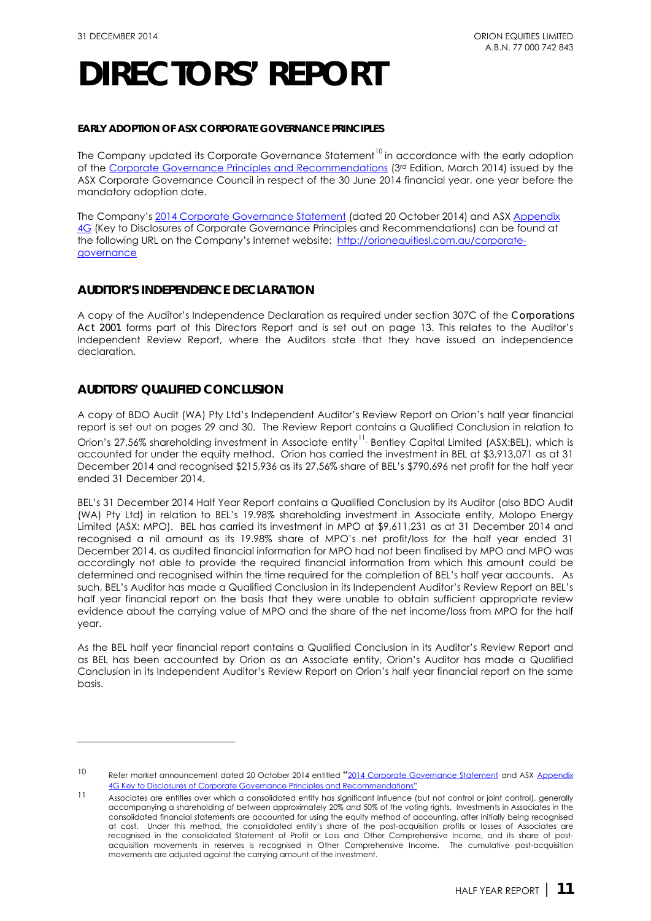### **EARLY ADOPTION OF ASX CORPORATE GOVERNANCE PRINCIPLES**

The Company updated its Corporate Governance Statement<sup>[10](#page-11-0)</sup> in accordance with the early adoption ofthe Corporate Governance Principles and Recommendations (3<sup>rd</sup> Edition, March 2014) issued by the ASX Corporate Governance Council in respect of the 30 June 2014 financial year, one year before the mandatory adoption date.

The Company's [2014 Corporate Governance Statement](http://orionequities.com.au/sites/default/files/20141024%20OEQ%20Corporate%20Governance%20Statement%20-%202014.pdf) (dated 20 October 2014) and AS[X Appendix](http://orionequities.com.au/sites/default/files/20141024%20OEQ%20ASX%20Appendix%204G%20-%20Key%20to%20Disclosures%20-%20Corporate%20Governance%20Recommendations.pdf)  [4G](http://orionequities.com.au/sites/default/files/20141024%20OEQ%20ASX%20Appendix%204G%20-%20Key%20to%20Disclosures%20-%20Corporate%20Governance%20Recommendations.pdf) (Key to Disclosures of Corporate Governance Principles and Recommendations) can be found at the following URL on the Company's Internet website: [http://orionequitiesl.com.au/corporate](http://orionequities.com.au/corporate-governance)[governance](http://orionequities.com.au/corporate-governance)

### **AUDITOR'S INDEPENDENCE DECLARATION**

A copy of the Auditor's Independence Declaration as required under section 307C of the *Corporations Act 2001* forms part of this Directors Report and is set out on page 13. This relates to the Auditor's Independent Review Report, where the Auditors state that they have issued an independence declaration.

### **AUDITORS' QUALIFIED CONCLUSION**

-

A copy of BDO Audit (WA) Pty Ltd's Independent Auditor's Review Report on Orion's half year financial report is set out on pages 29 and 30. The Review Report contains a Qualified Conclusion in relation to Orion's 27.56% shareholding investment in Associate entity<sup>[11](#page-11-1),</sup> Bentley Capital Limited (ASX:BEL), which is accounted for under the equity method. Orion has carried the investment in BEL at \$3,913,071 as at 31 December 2014 and recognised \$215,936 as its 27.56% share of BEL's \$790,696 net profit for the half year ended 31 December 2014.

BEL's 31 December 2014 Half Year Report contains a Qualified Conclusion by its Auditor (also BDO Audit (WA) Pty Ltd) in relation to BEL's 19.98% shareholding investment in Associate entity, Molopo Energy Limited (ASX: MPO). BEL has carried its investment in MPO at \$9,611,231 as at 31 December 2014 and recognised a nil amount as its 19.98% share of MPO's net profit/loss for the half year ended 31 December 2014, as audited financial information for MPO had not been finalised by MPO and MPO was accordingly not able to provide the required financial information from which this amount could be determined and recognised within the time required for the completion of BEL's half year accounts. As such, BEL's Auditor has made a Qualified Conclusion in its Independent Auditor's Review Report on BEL's half year financial report on the basis that they were unable to obtain sufficient appropriate review evidence about the carrying value of MPO and the share of the net income/loss from MPO for the half year.

As the BEL half year financial report contains a Qualified Conclusion in its Auditor's Review Report and as BEL has been accounted by Orion as an Associate entity, Orion's Auditor has made a Qualified Conclusion in its Independent Auditor's Review Report on Orion's half year financial report on the same basis.

<span id="page-11-0"></span><sup>10</sup> Refer market announcement dated 20 October 2014 entitled "[2014 Corporate Governance Statement](http://orionequities.com.au/sites/default/files/20141024%20OEQ%20Corporate%20Governance%20Statement%20-%202014.pdf) and ASX Appendix 4G Key to Disclosures of Corporate Governance Principles and I

<span id="page-11-1"></span><sup>11</sup> Associates are entities over which a consolidated entity has significant influence (but not control or joint control), generally accompanying a shareholding of between approximately 20% and 50% of the voting rights. Investments in Associates in the consolidated financial statements are accounted for using the equity method of accounting, after initially being recognised at cost. Under this method, the consolidated entity's share of the post-acquisition profits or losses of Associates are recognised in the consolidated Statement of Profit or Loss and Other Comprehensive Income, and its share of postacquisition movements in reserves is recognised in Other Comprehensive Income. The cumulative post-acquisition movements are adjusted against the carrying amount of the investment.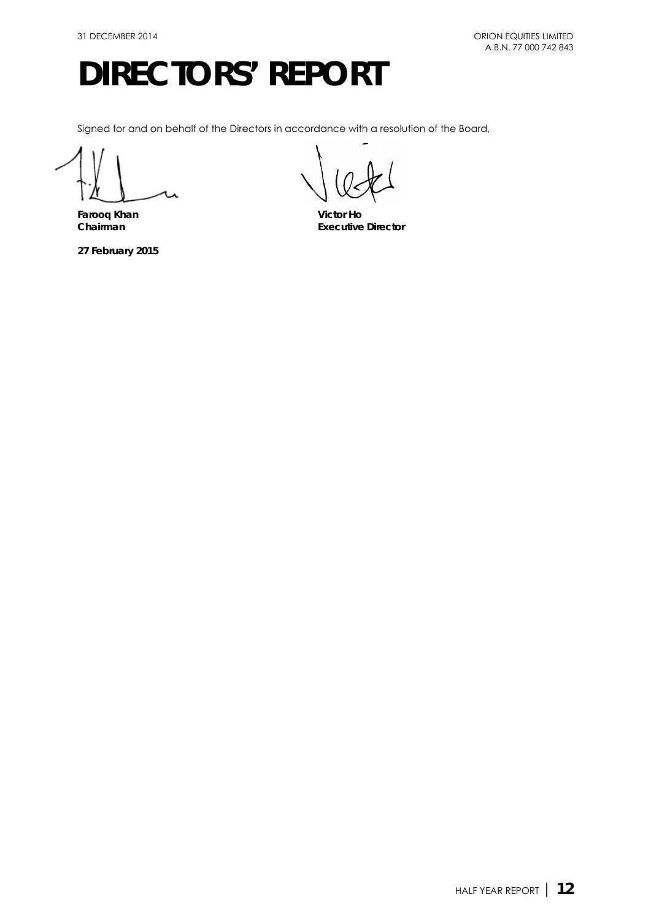Signed for and on behalf of the Directors in accordance with a resolution of the Board,

**Farooq Khan Victor Ho**

**27 February 2015** 

**Chairman Executive Director**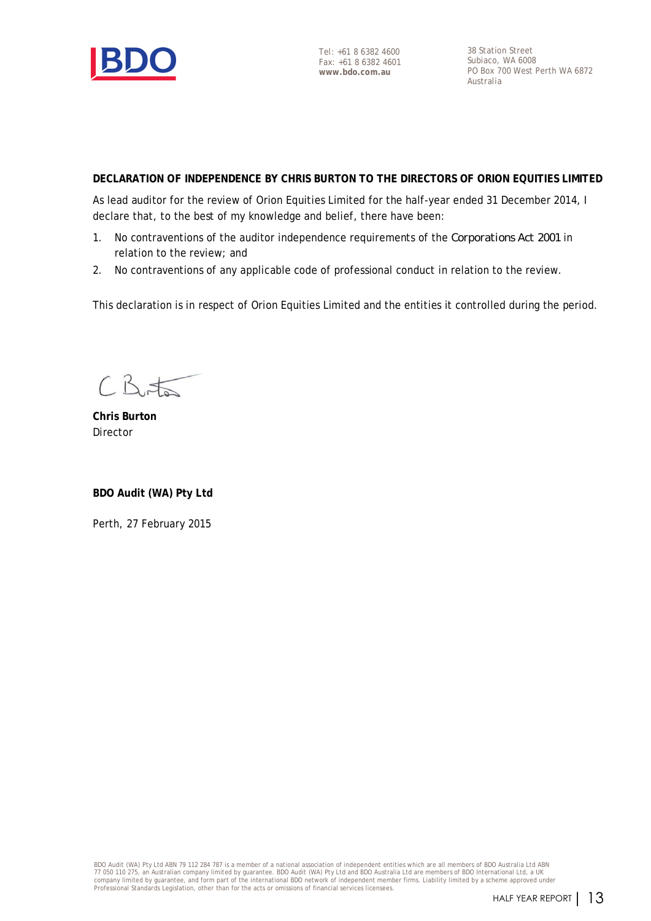

38 Station Street Subiaco, WA 6008 PO Box 700 West Perth WA 6872 Australia

### **DECLARATION OF INDEPENDENCE BY CHRIS BURTON TO THE DIRECTORS OF ORION EQUITIES LIMITED**

As lead auditor for the review of Orion Equities Limited for the half-year ended 31 December 2014, I declare that, to the best of my knowledge and belief, there have been:

- 1. No contraventions of the auditor independence requirements of the *Corporations Act 2001* in relation to the review; and
- 2. No contraventions of any applicable code of professional conduct in relation to the review.

This declaration is in respect of Orion Equities Limited and the entities it controlled during the period.

 $CB$ 

**Chris Burton** Director

**BDO Audit (WA) Pty Ltd**

Perth, 27 February 2015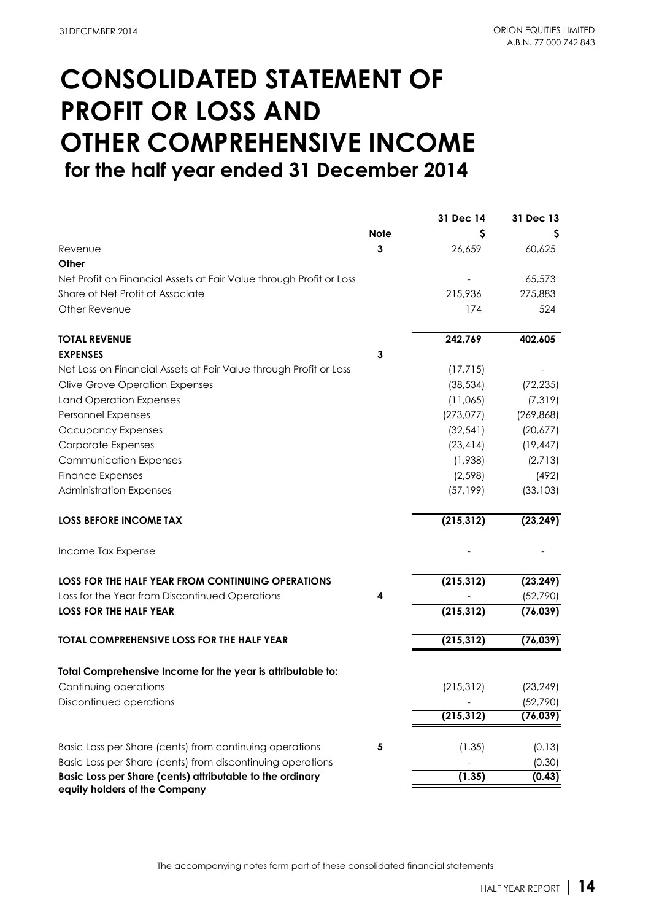## **CONSOLIDATED STATEMENT OF PROFIT OR LOSS AND OTHER COMPREHENSIVE INCOME for the half year ended 31 December 2014**

|             | 31 Dec 14  | 31 Dec 13            |
|-------------|------------|----------------------|
| <b>Note</b> | S          |                      |
| 3           | 26,659     | 60,625               |
|             |            |                      |
|             |            | 65,573               |
|             | 215,936    | 275,883              |
|             | 174        | 524                  |
|             | 242,769    | 402,605              |
| 3           |            |                      |
|             | (17, 715)  |                      |
|             | (38, 534)  | (72, 235)            |
|             | (11,065)   | (7, 319)             |
|             | (273, 077) | (269, 868)           |
|             | (32, 541)  | (20,677)             |
|             | (23, 414)  | (19, 447)            |
|             | (1,938)    | (2,713)              |
|             | (2, 598)   | (492)                |
|             | (57, 199)  | (33, 103)            |
|             | (215, 312) | (23, 249)            |
|             |            |                      |
|             | (215, 312) | (23, 249)            |
| 4           |            | (52, 790)            |
|             | (215, 312) | (76, 039)            |
|             | (215, 312) | (76, 039)            |
|             |            |                      |
|             |            | (23, 249)            |
|             |            | (52, 790)            |
|             | (215, 312) | (76, 039)            |
| 5           |            | (0.13)               |
|             |            | (0.30)               |
|             | (1.35)     | (0.43)               |
|             |            | (215, 312)<br>(1.35) |

The accompanying notes form part of these consolidated financial statements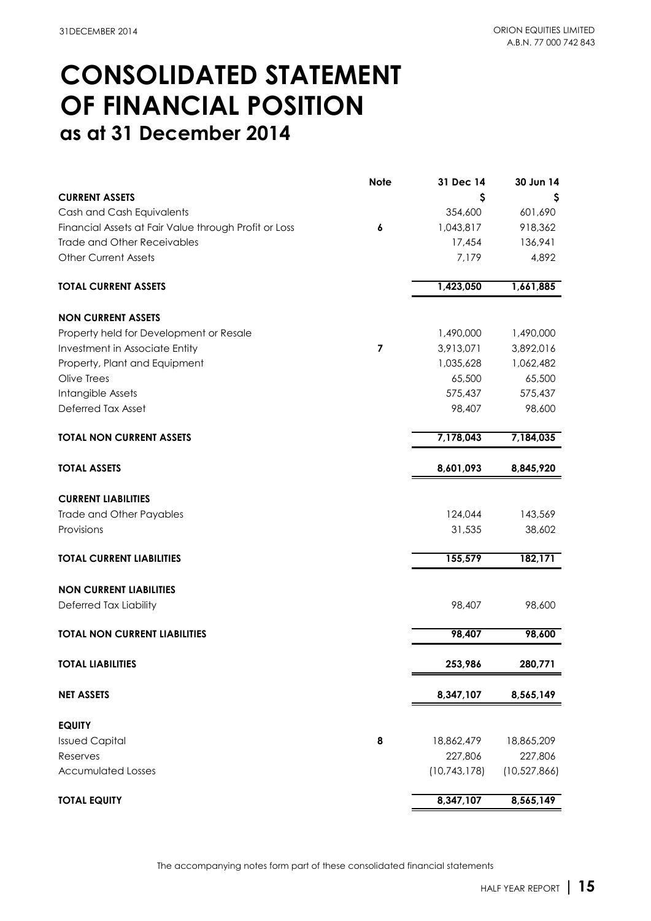### **CONSOLIDATED STATEMENT as at 31 December 2014 OF FINANCIAL POSITION**

|                                                       | <b>Note</b> | 31 Dec 14      | 30 Jun 14      |
|-------------------------------------------------------|-------------|----------------|----------------|
| <b>CURRENT ASSETS</b>                                 |             | Ş              |                |
| Cash and Cash Equivalents                             |             | 354,600        | 601,690        |
| Financial Assets at Fair Value through Profit or Loss | 6           | 1,043,817      | 918,362        |
| <b>Trade and Other Receivables</b>                    |             | 17,454         | 136,941        |
| <b>Other Current Assets</b>                           |             | 7,179          | 4,892          |
| <b>TOTAL CURRENT ASSETS</b>                           |             | 1,423,050      | 1,661,885      |
| <b>NON CURRENT ASSETS</b>                             |             |                |                |
| Property held for Development or Resale               |             | 1,490,000      | 1,490,000      |
| Investment in Associate Entity                        | 7           | 3,913,071      | 3,892,016      |
| Property, Plant and Equipment                         |             | 1,035,628      | 1,062,482      |
| Olive Trees                                           |             | 65,500         | 65,500         |
| Intangible Assets                                     |             | 575,437        | 575,437        |
| Deferred Tax Asset                                    |             | 98,407         | 98,600         |
| <b>TOTAL NON CURRENT ASSETS</b>                       |             | 7,178,043      | 7,184,035      |
| <b>TOTAL ASSETS</b>                                   |             | 8,601,093      | 8,845,920      |
| <b>CURRENT LIABILITIES</b>                            |             |                |                |
| Trade and Other Payables                              |             | 124,044        | 143,569        |
| Provisions                                            |             | 31,535         | 38,602         |
| <b>TOTAL CURRENT LIABILITIES</b>                      |             | 155,579        | 182,171        |
| <b>NON CURRENT LIABILITIES</b>                        |             |                |                |
| Deferred Tax Liability                                |             | 98,407         | 98,600         |
| <b>TOTAL NON CURRENT LIABILITIES</b>                  |             | 98,407         | 98,600         |
| <b>TOTAL LIABILITIES</b>                              |             | 253,986        | 280,771        |
| <b>NET ASSETS</b>                                     |             | 8,347,107      | 8,565,149      |
| <b>EQUITY</b>                                         |             |                |                |
| <b>Issued Capital</b>                                 | 8           | 18,862,479     | 18,865,209     |
| Reserves                                              |             | 227,806        | 227,806        |
| <b>Accumulated Losses</b>                             |             | (10, 743, 178) | (10, 527, 866) |
| <b>TOTAL EQUITY</b>                                   |             | 8,347,107      | 8,565,149      |

The accompanying notes form part of these consolidated financial statements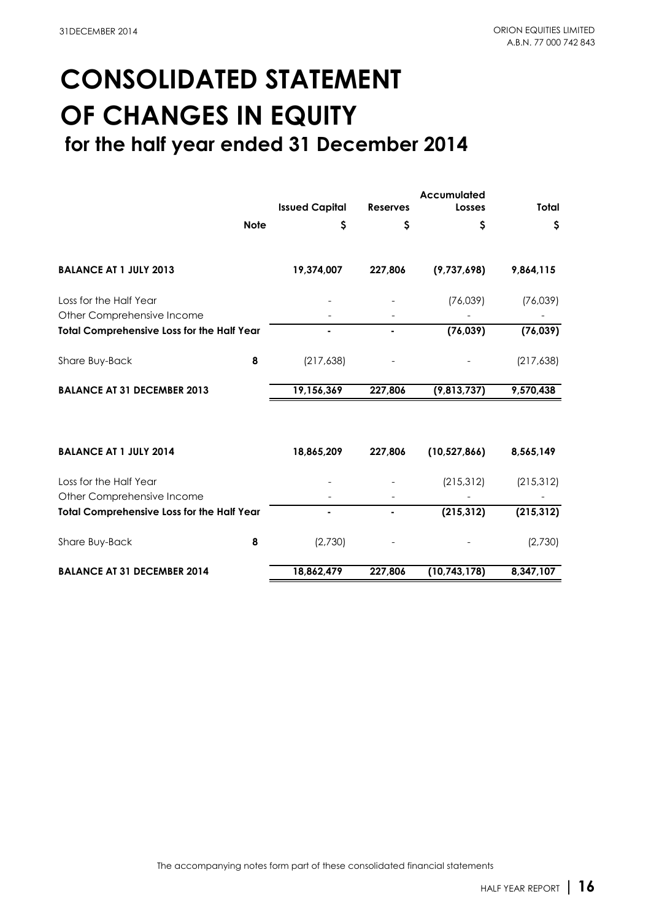# **CONSOLIDATED STATEMENT OF CHANGES IN EQUITY**

 **for the half year ended 31 December 2014**

|                                                   | <b>Issued Capital</b> | <b>Reserves</b> | <b>Accumulated</b><br>Losses | <b>Total</b> |
|---------------------------------------------------|-----------------------|-----------------|------------------------------|--------------|
| <b>Note</b>                                       | \$                    | \$              | \$                           | \$           |
| <b>BALANCE AT 1 JULY 2013</b>                     | 19,374,007            | 227,806         | (9,737,698)                  | 9,864,115    |
| Loss for the Half Year                            |                       |                 | (76,039)                     | (76,039)     |
| Other Comprehensive Income                        |                       |                 |                              |              |
| <b>Total Comprehensive Loss for the Half Year</b> |                       |                 | (76, 039)                    | (76, 039)    |
| Share Buy-Back<br>8                               | (217, 638)            |                 |                              | (217, 638)   |
| <b>BALANCE AT 31 DECEMBER 2013</b>                | 19,156,369            | 227,806         | (9,813,737)                  | 9,570,438    |
| <b>BALANCE AT 1 JULY 2014</b>                     | 18,865,209            | 227,806         | (10, 527, 866)               | 8,565,149    |
| Loss for the Half Year                            |                       |                 | (215, 312)                   | (215, 312)   |
| Other Comprehensive Income                        |                       |                 |                              |              |
| <b>Total Comprehensive Loss for the Half Year</b> | ۰                     |                 | (215, 312)                   | (215, 312)   |
| 8<br>Share Buy-Back                               | (2,730)               |                 |                              | (2,730)      |
| <b>BALANCE AT 31 DECEMBER 2014</b>                | 18,862,479            | 227,806         | (10, 743, 178)               | 8,347,107    |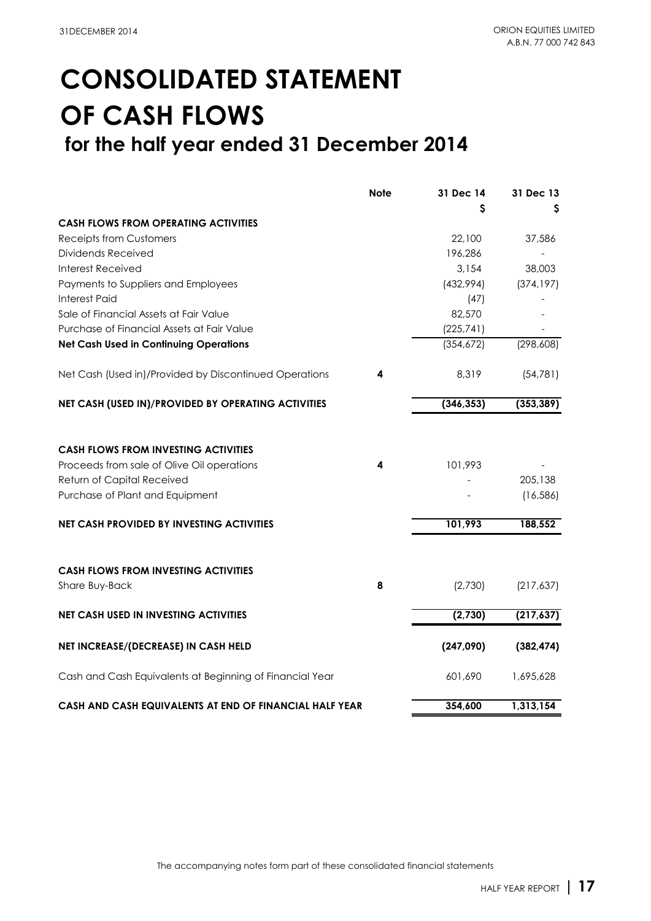## **CONSOLIDATED STATEMENT OF CASH FLOWS for the half year ended 31 December 2014**

|                                                                                                                                                            | <b>Note</b> | 31 Dec 14  | 31 Dec 13            |
|------------------------------------------------------------------------------------------------------------------------------------------------------------|-------------|------------|----------------------|
|                                                                                                                                                            |             | S          |                      |
| <b>CASH FLOWS FROM OPERATING ACTIVITIES</b>                                                                                                                |             |            |                      |
| <b>Receipts from Customers</b>                                                                                                                             |             | 22,100     | 37,586               |
| Dividends Received                                                                                                                                         |             | 196,286    |                      |
| <b>Interest Received</b>                                                                                                                                   |             | 3,154      | 38,003               |
| Payments to Suppliers and Employees                                                                                                                        |             | (432,994)  | (374, 197)           |
| Interest Paid                                                                                                                                              |             | (47)       |                      |
| Sale of Financial Assets at Fair Value                                                                                                                     |             | 82,570     |                      |
| Purchase of Financial Assets at Fair Value                                                                                                                 |             | (225, 741) |                      |
| <b>Net Cash Used in Continuing Operations</b>                                                                                                              |             | (354,672)  | (298, 608)           |
| Net Cash (Used in)/Provided by Discontinued Operations                                                                                                     | 4           | 8,319      | (54, 781)            |
| NET CASH (USED IN)/PROVIDED BY OPERATING ACTIVITIES                                                                                                        |             | (346, 353) | (353, 389)           |
| <b>CASH FLOWS FROM INVESTING ACTIVITIES</b><br>Proceeds from sale of Olive Oil operations<br>Return of Capital Received<br>Purchase of Plant and Equipment | 4           | 101,993    | 205,138<br>(16, 586) |
| <b>NET CASH PROVIDED BY INVESTING ACTIVITIES</b>                                                                                                           |             | 101,993    | 188,552              |
| <b>CASH FLOWS FROM INVESTING ACTIVITIES</b><br>Share Buy-Back                                                                                              | 8           | (2,730)    | (217,637)            |
| <b>NET CASH USED IN INVESTING ACTIVITIES</b>                                                                                                               |             | (2,730)    | (217, 637)           |
| NET INCREASE/(DECREASE) IN CASH HELD                                                                                                                       |             | (247,090)  | (382, 474)           |
| Cash and Cash Equivalents at Beginning of Financial Year                                                                                                   |             | 601,690    | 1,695,628            |
| CASH AND CASH EQUIVALENTS AT END OF FINANCIAL HALF YEAR                                                                                                    |             | 354.600    | 1,313,154            |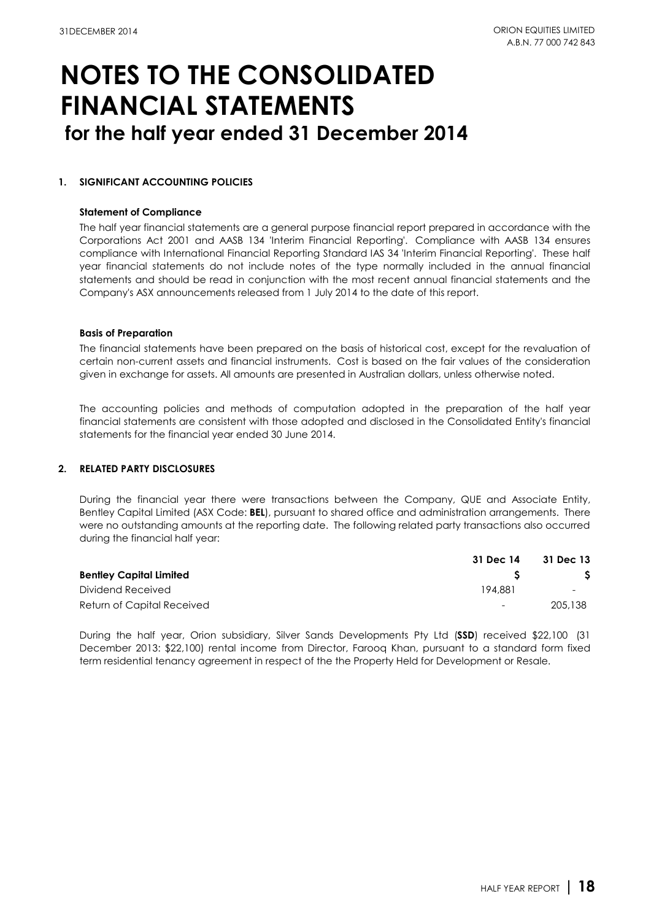#### **1. SIGNIFICANT ACCOUNTING POLICIES**

#### **Statement of Compliance**

The half year financial statements are a general purpose financial report prepared in accordance with the Corporations Act 2001 and AASB 134 'Interim Financial Reporting'. Compliance with AASB 134 ensures compliance with International Financial Reporting Standard IAS 34 'Interim Financial Reporting'. These half year financial statements do not include notes of the type normally included in the annual financial statements and should be read in conjunction with the most recent annual financial statements and the Company's ASX announcements released from 1 July 2014 to the date of this report.

#### **Basis of Preparation**

The financial statements have been prepared on the basis of historical cost, except for the revaluation of certain non-current assets and financial instruments. Cost is based on the fair values of the consideration given in exchange for assets. All amounts are presented in Australian dollars, unless otherwise noted.

The accounting policies and methods of computation adopted in the preparation of the half year financial statements are consistent with those adopted and disclosed in the Consolidated Entity's financial statements for the financial year ended 30 June 2014.

### **2. RELATED PARTY DISCLOSURES**

During the financial year there were transactions between the Company, QUE and Associate Entity, Bentley Capital Limited (ASX Code: **BEL**), pursuant to shared office and administration arrangements. There were no outstanding amounts at the reporting date. The following related party transactions also occurred during the financial half year:

|                                | 31 Dec 14 | 31 Dec 13                |  |
|--------------------------------|-----------|--------------------------|--|
| <b>Bentley Capital Limited</b> |           |                          |  |
| Dividend Received              | 194.881   | $\overline{\phantom{0}}$ |  |
| Return of Capital Received     | -         | 205,138                  |  |

During the half year, Orion subsidiary, Silver Sands Developments Pty Ltd (**SSD**) received \$22,100 (31 December 2013: \$22,100) rental income from Director, Farooq Khan, pursuant to a standard form fixed term residential tenancy agreement in respect of the the Property Held for Development or Resale.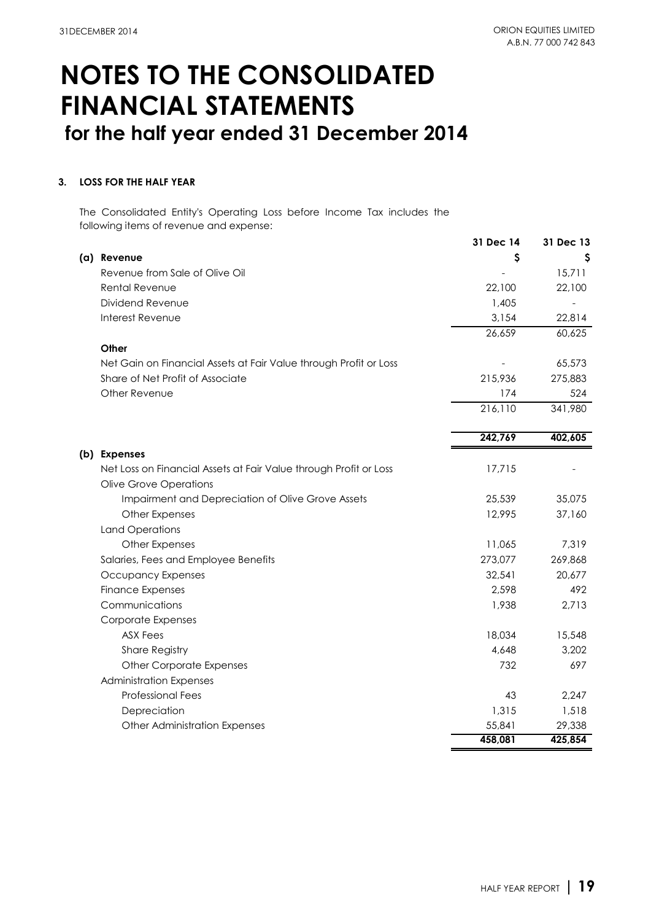### **3. LOSS FOR THE HALF YEAR**

The Consolidated Entity's Operating Loss before Income Tax includes the following items of revenue and expense:

|                                                                   | 31 Dec 14 | 31 Dec 13 |
|-------------------------------------------------------------------|-----------|-----------|
| (a) Revenue                                                       | S         | S         |
| Revenue from Sale of Olive Oil                                    |           | 15,711    |
| Rental Revenue                                                    | 22,100    | 22,100    |
| Dividend Revenue                                                  | 1,405     |           |
| Interest Revenue                                                  | 3,154     | 22,814    |
|                                                                   | 26,659    | 60,625    |
| Other                                                             |           |           |
| Net Gain on Financial Assets at Fair Value through Profit or Loss |           | 65,573    |
| Share of Net Profit of Associate                                  | 215,936   | 275,883   |
| Other Revenue                                                     | 174       | 524       |
|                                                                   | 216,110   | 341,980   |
|                                                                   | 242,769   | 402,605   |
| (b) Expenses                                                      |           |           |
| Net Loss on Financial Assets at Fair Value through Profit or Loss | 17,715    |           |
| <b>Olive Grove Operations</b>                                     |           |           |
| Impairment and Depreciation of Olive Grove Assets                 | 25,539    | 35,075    |
| Other Expenses                                                    | 12,995    | 37,160    |
| <b>Land Operations</b>                                            |           |           |
| Other Expenses                                                    | 11,065    | 7,319     |
| Salaries, Fees and Employee Benefits                              | 273,077   | 269,868   |
| Occupancy Expenses                                                | 32,541    | 20,677    |
| <b>Finance Expenses</b>                                           | 2,598     | 492       |
| Communications                                                    | 1,938     | 2,713     |
| Corporate Expenses                                                |           |           |
| <b>ASX Fees</b>                                                   | 18,034    | 15,548    |
| <b>Share Registry</b>                                             | 4,648     | 3,202     |
| <b>Other Corporate Expenses</b>                                   | 732       | 697       |
| <b>Administration Expenses</b>                                    |           |           |
| <b>Professional Fees</b>                                          | 43        | 2,247     |
| Depreciation                                                      | 1,315     | 1,518     |
| Other Administration Expenses                                     | 55,841    | 29,338    |
|                                                                   | 458,081   | 425,854   |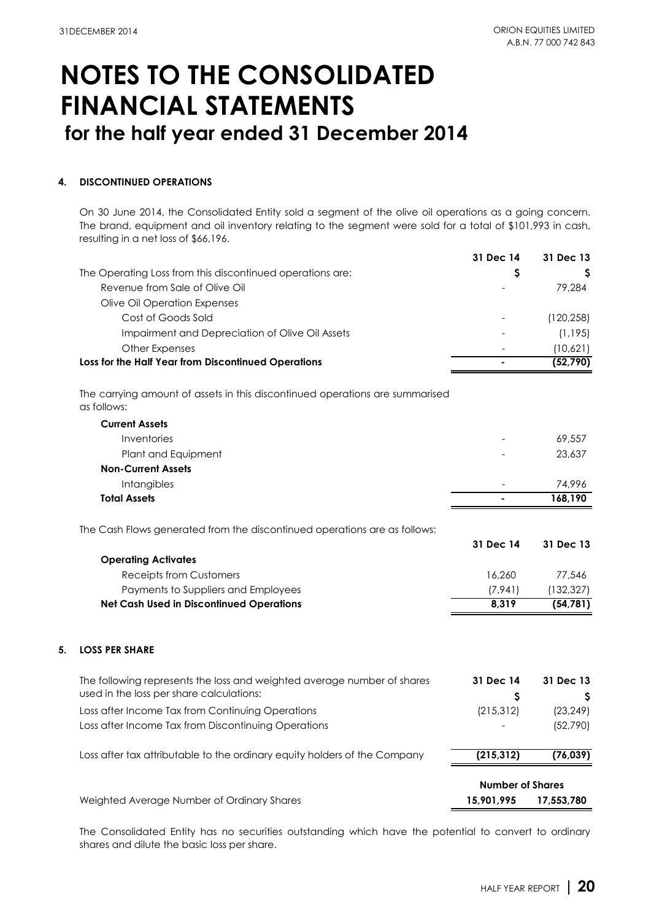### **4. DISCONTINUED OPERATIONS**

On 30 June 2014, the Consolidated Entity sold a segment of the olive oil operations as a going concern. The brand, equipment and oil inventory relating to the segment were sold for a total of \$101,993 in cash, resulting in a net loss of \$66,196.

|    |                                                                                             | 31 Dec 14               | 31 Dec 13  |
|----|---------------------------------------------------------------------------------------------|-------------------------|------------|
|    | The Operating Loss from this discontinued operations are:                                   | \$                      |            |
|    | Revenue from Sale of Olive Oil                                                              |                         | 79,284     |
|    | Olive Oil Operation Expenses                                                                |                         |            |
|    | Cost of Goods Sold                                                                          |                         | (120, 258) |
|    | Impairment and Depreciation of Olive Oil Assets                                             |                         | (1, 195)   |
|    | Other Expenses                                                                              |                         | (10,621)   |
|    | Loss for the Half Year from Discontinued Operations                                         |                         | (52, 790)  |
|    | The carrying amount of assets in this discontinued operations are summarised<br>as follows: |                         |            |
|    | <b>Current Assets</b>                                                                       |                         |            |
|    | Inventories                                                                                 |                         | 69,557     |
|    | Plant and Equipment                                                                         |                         | 23,637     |
|    | <b>Non-Current Assets</b>                                                                   |                         |            |
|    | Intangibles                                                                                 |                         | 74,996     |
|    | <b>Total Assets</b>                                                                         |                         | 168,190    |
|    | The Cash Flows generated from the discontinued operations are as follows:                   |                         |            |
|    |                                                                                             | 31 Dec 14               | 31 Dec 13  |
|    | <b>Operating Activates</b>                                                                  |                         |            |
|    | <b>Receipts from Customers</b>                                                              | 16,260                  | 77,546     |
|    | Payments to Suppliers and Employees                                                         | (7, 941)                | (132, 327) |
|    | <b>Net Cash Used in Discontinued Operations</b>                                             | 8,319                   | (54, 781)  |
| 5. | <b>LOSS PER SHARE</b>                                                                       |                         |            |
|    | The following represents the loss and weighted average number of shares                     | 31 Dec 14               | 31 Dec 13  |
|    | used in the loss per share calculations:                                                    | \$                      | Ş          |
|    | Loss after Income Tax from Continuing Operations                                            | (215, 312)              | (23, 249)  |
|    | Loss after Income Tax from Discontinuing Operations                                         |                         | (52, 790)  |
|    | Loss after tax attributable to the ordinary equity holders of the Company                   | (215, 312)              | (76, 039)  |
|    |                                                                                             | <b>Number of Shares</b> |            |
|    | Weighted Average Number of Ordinary Shares                                                  | 15,901,995              | 17,553,780 |

The Consolidated Entity has no securities outstanding which have the potential to convert to ordinary shares and dilute the basic loss per share.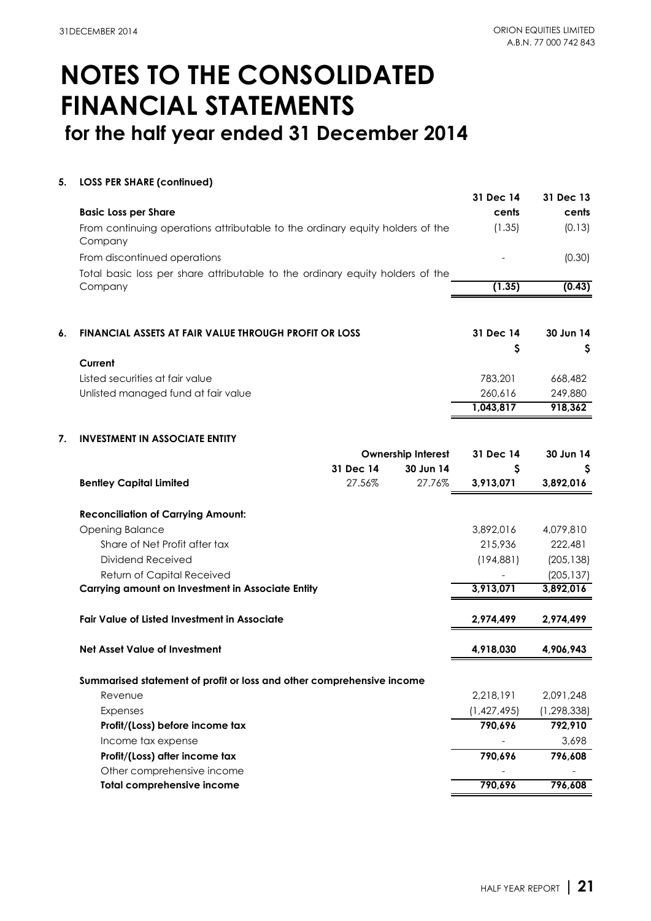### **5. LOSS PER SHARE (continued)**

|    |                                                                                          |           |                           | 31 Dec 14                | 31 Dec 13                |
|----|------------------------------------------------------------------------------------------|-----------|---------------------------|--------------------------|--------------------------|
|    | <b>Basic Loss per Share</b>                                                              |           |                           | cents                    | cents                    |
|    | From continuing operations attributable to the ordinary equity holders of the<br>Company |           |                           | (1.35)                   | (0.13)                   |
|    | From discontinued operations                                                             |           |                           |                          | (0.30)                   |
|    | Total basic loss per share attributable to the ordinary equity holders of the            |           |                           |                          |                          |
|    | Company                                                                                  |           |                           | (1.35)                   | (0.43)                   |
|    |                                                                                          |           |                           |                          |                          |
| 6. | FINANCIAL ASSETS AT FAIR VALUE THROUGH PROFIT OR LOSS                                    |           |                           | 31 Dec 14                | 30 Jun 14                |
|    |                                                                                          |           |                           | \$                       | Ş                        |
|    | Current                                                                                  |           |                           |                          |                          |
|    | Listed securities at fair value                                                          |           |                           | 783,201                  | 668,482                  |
|    | Unlisted managed fund at fair value                                                      |           |                           | 260,616                  | 249,880                  |
|    |                                                                                          |           |                           | 1,043,817                | 918,362                  |
| 7. | <b>INVESTMENT IN ASSOCIATE ENTITY</b>                                                    |           |                           |                          |                          |
|    |                                                                                          |           | <b>Ownership Interest</b> | 31 Dec 14                | 30 Jun 14                |
|    |                                                                                          | 31 Dec 14 | 30 Jun 14                 | Ş                        | Ş                        |
|    | <b>Bentley Capital Limited</b>                                                           | 27.56%    | 27.76%                    | 3,913,071                | 3,892,016                |
|    | <b>Reconciliation of Carrying Amount:</b>                                                |           |                           |                          |                          |
|    | <b>Opening Balance</b>                                                                   |           |                           | 3,892,016                | 4,079,810                |
|    | Share of Net Profit after tax                                                            |           |                           | 215,936                  | 222,481                  |
|    | Dividend Received                                                                        |           |                           | (194, 881)               | (205, 138)               |
|    | Return of Capital Received                                                               |           |                           |                          | (205, 137)               |
|    | <b>Carrying amount on Investment in Associate Entity</b>                                 |           |                           | 3,913,071                | 3,892,016                |
|    | <b>Fair Value of Listed Investment in Associate</b>                                      |           |                           | 2,974,499                | 2,974,499                |
|    | <b>Net Asset Value of Investment</b>                                                     |           |                           | 4,918,030                | 4,906,943                |
|    |                                                                                          |           |                           |                          |                          |
|    | Summarised statement of profit or loss and other comprehensive income                    |           |                           |                          |                          |
|    | Revenue                                                                                  |           |                           | 2,218,191<br>(1,427,495) | 2,091,248                |
|    | Expenses                                                                                 |           |                           | 790,696                  | (1, 298, 338)<br>792,910 |
|    | Profit/(Loss) before income tax<br>Income tax expense                                    |           |                           |                          | 3,698                    |
|    | Profit/(Loss) after income tax                                                           |           |                           | 790,696                  | 796,608                  |
|    | Other comprehensive income                                                               |           |                           |                          |                          |
|    | <b>Total comprehensive income</b>                                                        |           |                           | 790,696                  | 796,608                  |
|    |                                                                                          |           |                           |                          |                          |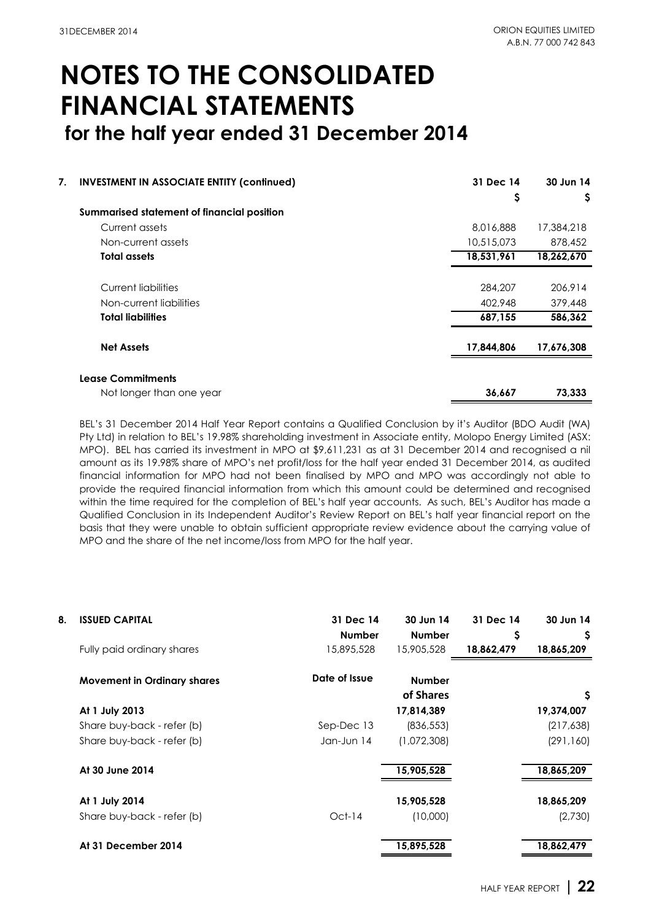| 7. | <b>INVESTMENT IN ASSOCIATE ENTITY (confinued)</b> | 31 Dec 14  | 30 Jun 14  |
|----|---------------------------------------------------|------------|------------|
|    |                                                   | Ş          | Ş          |
|    | Summarised statement of financial position        |            |            |
|    | Current assets                                    | 8,016,888  | 17,384,218 |
|    | Non-current assets                                | 10,515,073 | 878,452    |
|    | <b>Total assets</b>                               | 18,531,961 | 18,262,670 |
|    | Current liabilities                               | 284,207    | 206,914    |
|    | Non-current liabilities                           | 402,948    | 379,448    |
|    | <b>Total liabilities</b>                          | 687,155    | 586,362    |
|    | <b>Net Assets</b>                                 | 17,844,806 | 17,676,308 |
|    | <b>Lease Commitments</b>                          |            |            |
|    | Not longer than one year                          | 36,667     | 73.333     |

BEL's 31 December 2014 Half Year Report contains a Qualified Conclusion by it's Auditor (BDO Audit (WA) Pty Ltd) in relation to BEL's 19.98% shareholding investment in Associate entity, Molopo Energy Limited (ASX: MPO). BEL has carried its investment in MPO at \$9,611,231 as at 31 December 2014 and recognised a nil amount as its 19.98% share of MPO's net profit/loss for the half year ended 31 December 2014, as audited financial information for MPO had not been finalised by MPO and MPO was accordingly not able to provide the required financial information from which this amount could be determined and recognised within the time required for the completion of BEL's half year accounts. As such, BEL's Auditor has made a Qualified Conclusion in its Independent Auditor's Review Report on BEL's half year financial report on the basis that they were unable to obtain sufficient appropriate review evidence about the carrying value of MPO and the share of the net income/loss from MPO for the half year.

| 8. | <b>ISSUED CAPITAL</b>              | 31 Dec 14<br><b>Number</b> | 30 Jun 14<br><b>Number</b> | 31 Dec 14<br>Ş | 30 Jun 14<br>Ş |
|----|------------------------------------|----------------------------|----------------------------|----------------|----------------|
|    | Fully paid ordinary shares         | 15,895,528                 | 15,905,528                 | 18,862,479     | 18,865,209     |
|    | <b>Movement in Ordinary shares</b> | Date of Issue              | <b>Number</b><br>of Shares |                | \$.            |
|    | At 1 July 2013                     |                            | 17,814,389                 |                | 19,374,007     |
|    | Share buy-back - refer (b)         | Sep-Dec 13                 | (836, 553)                 |                | (217, 638)     |
|    | Share buy-back - refer (b)         | Jan-Jun 14                 | (1,072,308)                |                | (291, 160)     |
|    | At 30 June 2014                    |                            | 15,905,528                 |                | 18,865,209     |
|    | At 1 July 2014                     |                            | 15,905,528                 |                | 18,865,209     |
|    | Share buy-back - refer (b)         | $Oct-14$                   | (10,000)                   |                | (2,730)        |
|    | At 31 December 2014                |                            | 15,895,528                 |                | 18,862,479     |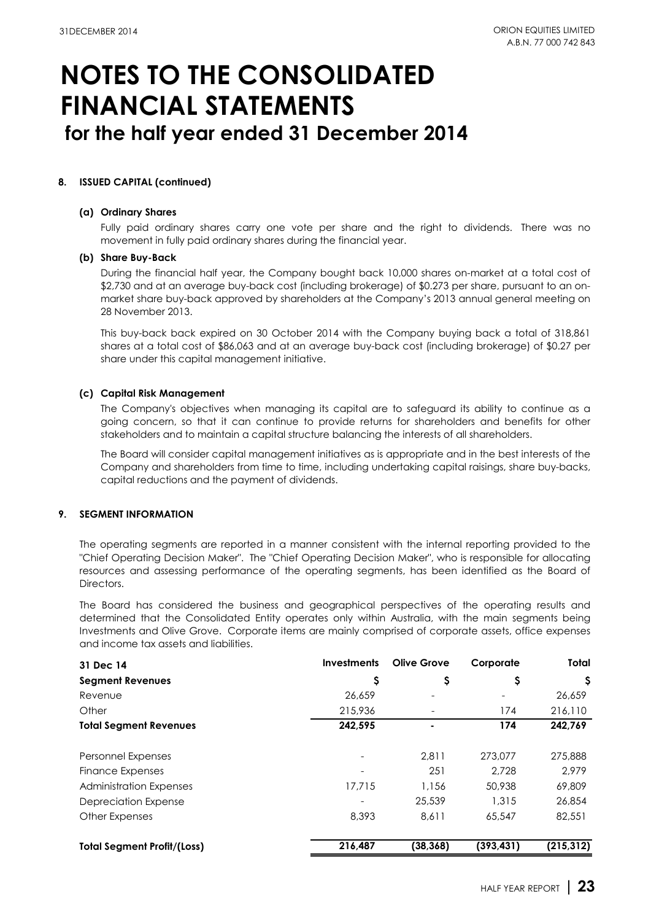### **8. ISSUED CAPITAL (continued)**

#### **(a) Ordinary Shares**

Fully paid ordinary shares carry one vote per share and the right to dividends. There was no movement in fully paid ordinary shares during the financial year.

### **(b) Share Buy-Back**

During the financial half year, the Company bought back 10,000 shares on-market at a total cost of \$2,730 and at an average buy-back cost (including brokerage) of \$0.273 per share, pursuant to an onmarket share buy-back approved by shareholders at the Company's 2013 annual general meeting on 28 November 2013.

This buy-back back expired on 30 October 2014 with the Company buying back a total of 318,861 shares at a total cost of \$86,063 and at an average buy-back cost (including brokerage) of \$0.27 per share under this capital management initiative.

### **(c) Capital Risk Management**

The Company's objectives when managing its capital are to safeguard its ability to continue as a going concern, so that it can continue to provide returns for shareholders and benefits for other stakeholders and to maintain a capital structure balancing the interests of all shareholders.

The Board will consider capital management initiatives as is appropriate and in the best interests of the Company and shareholders from time to time, including undertaking capital raisings, share buy-backs, capital reductions and the payment of dividends.

### **9. SEGMENT INFORMATION**

The operating segments are reported in a manner consistent with the internal reporting provided to the "Chief Operating Decision Maker". The "Chief Operating Decision Maker", who is responsible for allocating resources and assessing performance of the operating segments, has been identified as the Board of Directors.

The Board has considered the business and geographical perspectives of the operating results and determined that the Consolidated Entity operates only within Australia, with the main segments being Investments and Olive Grove. Corporate items are mainly comprised of corporate assets, office expenses and income tax assets and liabilities.

| 31 Dec 14                          | <b>Investments</b> | <b>Olive Grove</b> | Corporate  | <b>Total</b> |
|------------------------------------|--------------------|--------------------|------------|--------------|
| <b>Segment Revenues</b>            | \$                 | \$                 | Ş          | \$.          |
| Revenue                            | 26,659             |                    |            | 26,659       |
| Other                              | 215,936            | $\qquad \qquad -$  | 174        | 216,110      |
| <b>Total Segment Revenues</b>      | 242,595            |                    | 174        | 242,769      |
| Personnel Expenses                 |                    | 2.811              | 273,077    | 275,888      |
| <b>Finance Expenses</b>            |                    | 251                | 2.728      | 2.979        |
| <b>Administration Expenses</b>     | 17.715             | 1,156              | 50,938     | 69,809       |
| Depreciation Expense               |                    | 25,539             | 1.315      | 26,854       |
| <b>Other Expenses</b>              | 8,393              | 8,611              | 65,547     | 82,551       |
| <b>Total Segment Profit/(Loss)</b> | 216,487            | (38, 368)          | (393, 431) | (215, 312)   |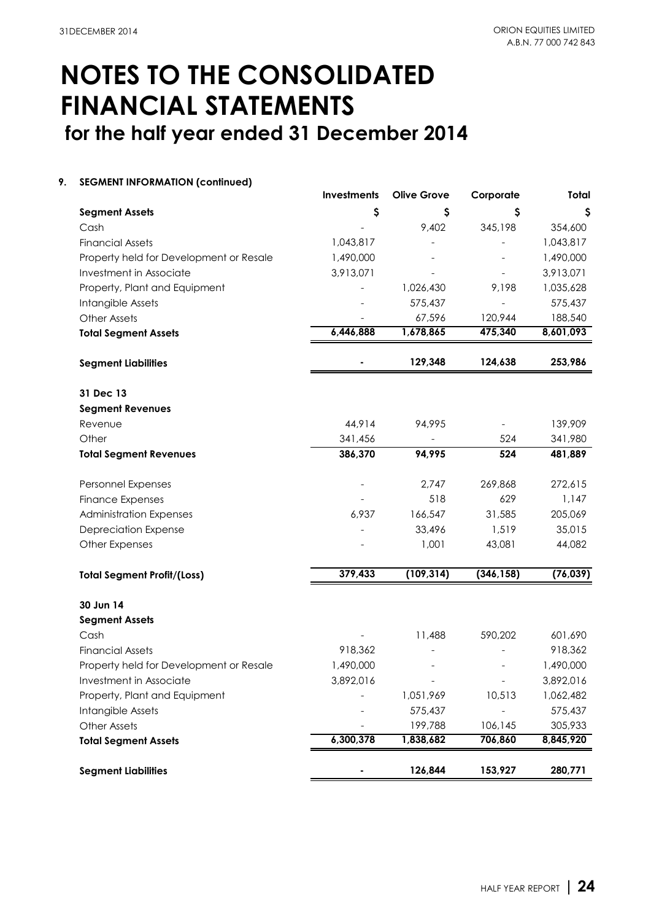### **9. SEGMENT INFORMATION (continued)**

|                                         | Investments | <b>Olive Grove</b> | Corporate  | Total     |
|-----------------------------------------|-------------|--------------------|------------|-----------|
| <b>Segment Assets</b>                   | \$          | \$                 | Ş          | \$        |
| Cash                                    |             | 9,402              | 345,198    | 354,600   |
| <b>Financial Assets</b>                 | 1,043,817   |                    |            | 1,043,817 |
| Property held for Development or Resale | 1,490,000   |                    |            | 1,490,000 |
| Investment in Associate                 | 3,913,071   |                    |            | 3,913,071 |
| Property, Plant and Equipment           |             | 1,026,430          | 9,198      | 1,035,628 |
| Intangible Assets                       |             | 575,437            |            | 575,437   |
| <b>Other Assets</b>                     |             | 67,596             | 120,944    | 188,540   |
| <b>Total Segment Assets</b>             | 6,446,888   | 1,678,865          | 475,340    | 8,601,093 |
| <b>Segment Liabilities</b>              |             | 129,348            | 124,638    | 253,986   |
| 31 Dec 13                               |             |                    |            |           |
| <b>Segment Revenues</b>                 |             |                    |            |           |
| Revenue                                 | 44,914      | 94,995             |            | 139,909   |
| Other                                   | 341,456     |                    | 524        | 341,980   |
| <b>Total Segment Revenues</b>           | 386,370     | 94,995             | 524        | 481,889   |
| Personnel Expenses                      |             | 2,747              | 269,868    | 272,615   |
| <b>Finance Expenses</b>                 |             | 518                | 629        | 1,147     |
| <b>Administration Expenses</b>          | 6,937       | 166,547            | 31,585     | 205,069   |
| <b>Depreciation Expense</b>             |             | 33,496             | 1,519      | 35,015    |
| <b>Other Expenses</b>                   |             | 1,001              | 43,081     | 44,082    |
| <b>Total Segment Profit/(Loss)</b>      | 379,433     | (109, 314)         | (346, 158) | (76, 039) |
| 30 Jun 14                               |             |                    |            |           |
| <b>Segment Assets</b>                   |             |                    |            |           |
| Cash                                    |             | 11,488             | 590,202    | 601,690   |
| <b>Financial Assets</b>                 | 918,362     |                    |            | 918,362   |
| Property held for Development or Resale | 1,490,000   |                    |            | 1,490,000 |
| Investment in Associate                 | 3,892,016   |                    |            | 3,892,016 |
| Property, Plant and Equipment           |             | 1,051,969          | 10,513     | 1,062,482 |
| Intangible Assets                       |             | 575,437            |            | 575,437   |
| <b>Other Assets</b>                     |             | 199,788            | 106,145    | 305,933   |
| <b>Total Segment Assets</b>             | 6,300,378   | 1,838,682          | 706,860    | 8,845,920 |
| <b>Segment Liabilities</b>              |             | 126,844            | 153,927    | 280,771   |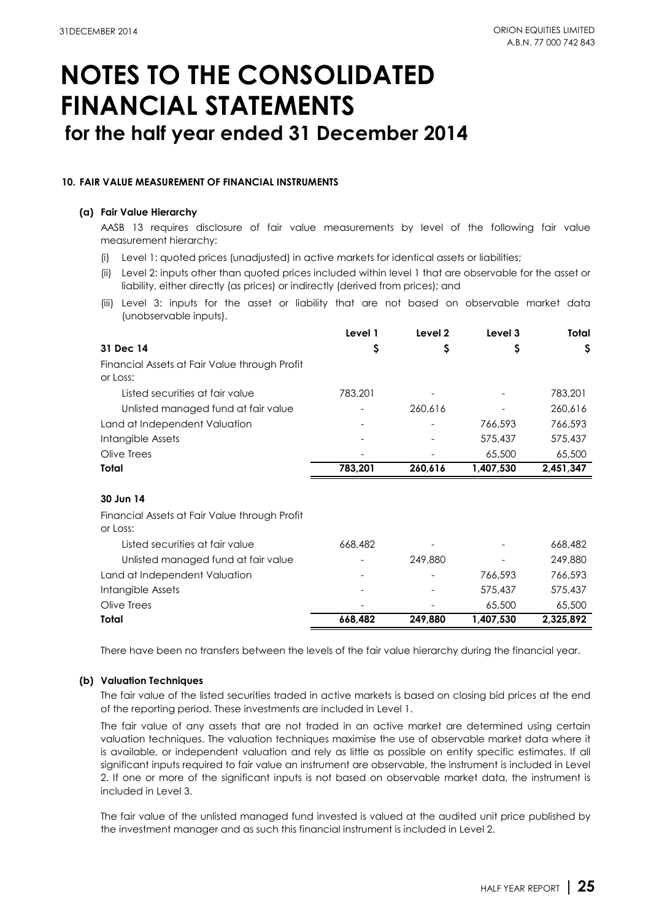### **10. FAIR VALUE MEASUREMENT OF FINANCIAL INSTRUMENTS**

### **(a) Fair Value Hierarchy**

AASB 13 requires disclosure of fair value measurements by level of the following fair value measurement hierarchy:

- (i) Level 1: quoted prices (unadjusted) in active markets for identical assets or liabilities;
- (ii) Level 2: inputs other than quoted prices included within level 1 that are observable for the asset or liability, either directly (as prices) or indirectly (derived from prices); and
- (iii) Level 3: inputs for the asset or liability that are not based on observable market data (unobservable inputs).

|                                                           | Level 1 | Level 2 | Level 3   | Total     |
|-----------------------------------------------------------|---------|---------|-----------|-----------|
| 31 Dec 14                                                 | Ş       | Ş       | S         | Ş         |
| Financial Assets at Fair Value through Profit<br>or Loss: |         |         |           |           |
| Listed securities at fair value                           | 783,201 |         |           | 783,201   |
| Unlisted managed fund at fair value                       |         | 260,616 |           | 260,616   |
| Land at Independent Valuation                             |         |         | 766,593   | 766,593   |
| Intangible Assets                                         |         |         | 575,437   | 575,437   |
| Olive Trees                                               |         |         | 65,500    | 65,500    |
| Total                                                     | 783,201 | 260,616 | 1,407,530 | 2,451,347 |
|                                                           |         |         |           |           |
| 30 Jun 14                                                 |         |         |           |           |
| Financial Assets at Fair Value through Profit<br>or Loss: |         |         |           |           |
| Listed securities at fair value                           | 668,482 |         |           | 668,482   |
| Unlisted managed fund at fair value                       |         | 249,880 |           | 249,880   |
| Land at Independent Valuation                             |         |         | 766,593   | 766,593   |
| Intangible Assets                                         |         |         | 575,437   | 575,437   |
| Olive Trees                                               |         |         | 65,500    | 65,500    |
| Total                                                     | 668,482 | 249,880 | 1,407,530 | 2,325,892 |

There have been no transfers between the levels of the fair value hierarchy during the financial year.

### **(b) Valuation Techniques**

The fair value of the listed securities traded in active markets is based on closing bid prices at the end of the reporting period. These investments are included in Level 1.

The fair value of any assets that are not traded in an active market are determined using certain valuation techniques. The valuation techniques maximise the use of observable market data where it is available, or independent valuation and rely as little as possible on entity specific estimates. If all significant inputs required to fair value an instrument are observable, the instrument is included in Level 2. If one or more of the significant inputs is not based on observable market data, the instrument is included in Level 3.

The fair value of the unlisted managed fund invested is valued at the audited unit price published by the investment manager and as such this financial instrument is included in Level 2.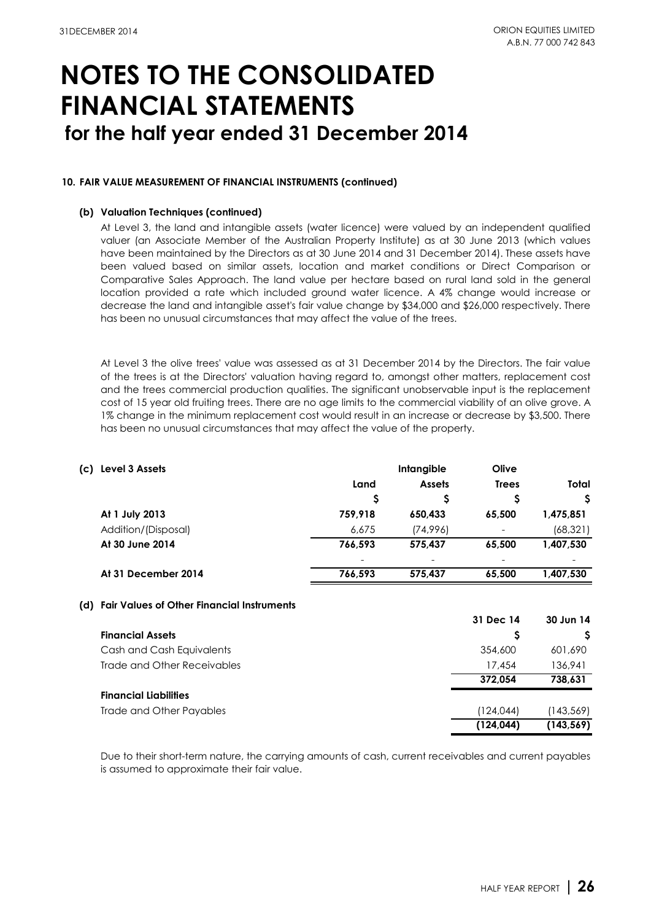### **10. FAIR VALUE MEASUREMENT OF FINANCIAL INSTRUMENTS (continued)**

### **(b) Valuation Techniques (continued)**

At Level 3, the land and intangible assets (water licence) were valued by an independent qualified valuer (an Associate Member of the Australian Property Institute) as at 30 June 2013 (which values have been maintained by the Directors as at 30 June 2014 and 31 December 2014). These assets have been valued based on similar assets, location and market conditions or Direct Comparison or Comparative Sales Approach. The land value per hectare based on rural land sold in the general location provided a rate which included ground water licence. A 4% change would increase or decrease the land and intangible asset's fair value change by \$34,000 and \$26,000 respectively. There has been no unusual circumstances that may affect the value of the trees.

At Level 3 the olive trees' value was assessed as at 31 December 2014 by the Directors. The fair value of the trees is at the Directors' valuation having regard to, amongst other matters, replacement cost and the trees commercial production qualities. The significant unobservable input is the replacement cost of 15 year old fruiting trees. There are no age limits to the commercial viability of an olive grove. A 1% change in the minimum replacement cost would result in an increase or decrease by \$3,500. There has been no unusual circumstances that may affect the value of the property.

| (c) Level 3 Assets                             |         | Intangible    | Olive        |           |  |
|------------------------------------------------|---------|---------------|--------------|-----------|--|
|                                                | Land    | <b>Assets</b> | <b>Trees</b> | Total     |  |
|                                                | \$      |               | Ş            | \$.       |  |
| At 1 July 2013                                 | 759,918 | 650,433       | 65,500       | 1,475,851 |  |
| Addition/(Disposal)                            | 6.675   | (74,996)      |              | (68, 321) |  |
| At 30 June 2014                                | 766,593 | 575,437       | 65.500       | 1,407,530 |  |
|                                                |         |               |              |           |  |
| At 31 December 2014                            | 766,593 | 575,437       | 65,500       | 1,407,530 |  |
| (d) Fair Values of Other Financial Instruments |         |               |              |           |  |
|                                                |         |               | 31 Dec 14    | 30 Jun 14 |  |
| <b>Financial Assets</b>                        |         |               |              | -S        |  |
|                                                |         |               |              |           |  |

|                              | (124.044) | (143, 569) |
|------------------------------|-----------|------------|
| Trade and Other Payables     | (124,044) | (143,569)  |
| <b>Financial Liabilities</b> |           |            |
|                              | 372.054   | 738.631    |
| Trade and Other Receivables  | 17.454    | 136.941    |
| Cash and Cash Equivalents    | 354,600   | 601,690    |
|                              |           |            |

Due to their short-term nature, the carrying amounts of cash, current receivables and current payables is assumed to approximate their fair value.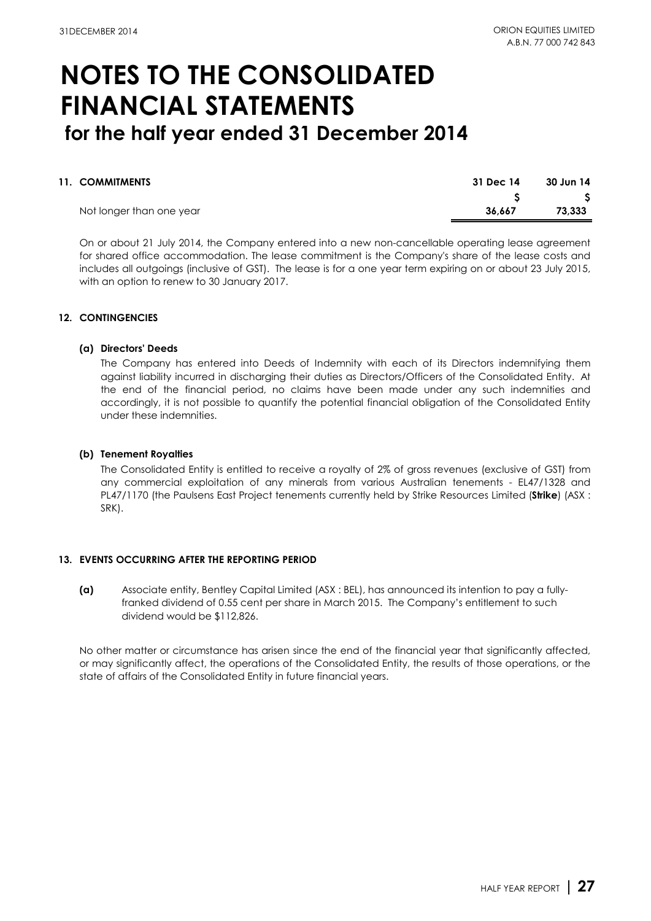| 11. COMMITMENTS          | 31 Dec 14 | 30 Jun 14 |
|--------------------------|-----------|-----------|
|                          |           | ు         |
| Not longer than one year | 36.667    | 73,333    |

On or about 21 July 2014, the Company entered into a new non-cancellable operating lease agreement for shared office accommodation. The lease commitment is the Company's share of the lease costs and includes all outgoings (inclusive of GST). The lease is for a one year term expiring on or about 23 July 2015, with an option to renew to 30 January 2017.

### **12. CONTINGENCIES**

### **(a) Directors' Deeds**

The Company has entered into Deeds of Indemnity with each of its Directors indemnifying them against liability incurred in discharging their duties as Directors/Officers of the Consolidated Entity. At the end of the financial period, no claims have been made under any such indemnities and accordingly, it is not possible to quantify the potential financial obligation of the Consolidated Entity under these indemnities.

### **(b) Tenement Royalties**

The Consolidated Entity is entitled to receive a royalty of 2% of gross revenues (exclusive of GST) from any commercial exploitation of any minerals from various Australian tenements - EL47/1328 and PL47/1170 (the Paulsens East Project tenements currently held by Strike Resources Limited (**Strike**) (ASX : SRK).

### **13. EVENTS OCCURRING AFTER THE REPORTING PERIOD**

**(a)** Associate entity, Bentley Capital Limited (ASX : BEL), has announced its intention to pay a fullyfranked dividend of 0.55 cent per share in March 2015. The Company's entitlement to such dividend would be \$112,826.

No other matter or circumstance has arisen since the end of the financial year that significantly affected, or may significantly affect, the operations of the Consolidated Entity, the results of those operations, or the state of affairs of the Consolidated Entity in future financial years.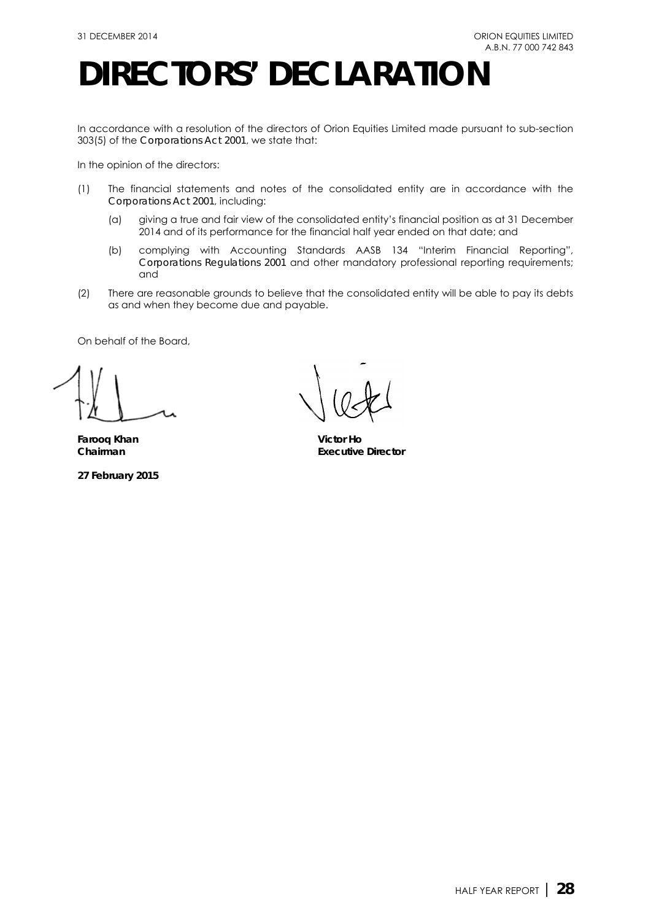## **DIRECTORS' DECLARATION**

In accordance with a resolution of the directors of Orion Equities Limited made pursuant to sub-section 303(5) of the *Corporations Act 2001*, we state that:

In the opinion of the directors:

- (1) The financial statements and notes of the consolidated entity are in accordance with the *Corporations Act 2001*, including:
	- (a) giving a true and fair view of the consolidated entity's financial position as at 31 December 2014 and of its performance for the financial half year ended on that date; and
	- (b) complying with Accounting Standards AASB 134 "Interim Financial Reporting", *Corporations Regulations 2001* and other mandatory professional reporting requirements; and
- (2) There are reasonable grounds to believe that the consolidated entity will be able to pay its debts as and when they become due and payable.

On behalf of the Board,

**Farooq Khan Victor Ho**

**27 February 2015**

**Executive Director**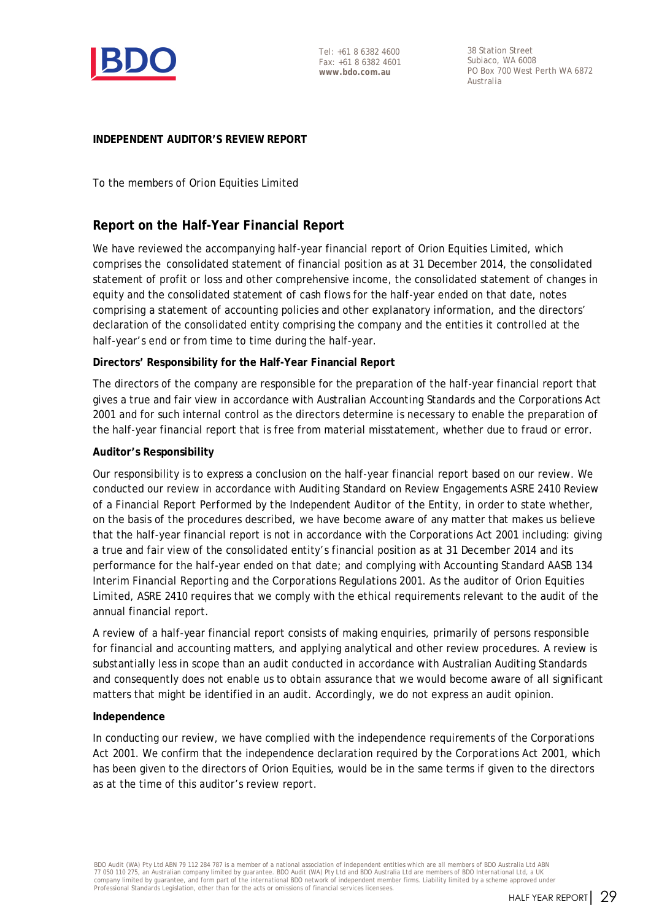

38 Station Street Subiaco, WA 6008 PO Box 700 West Perth WA 6872 Australia

### **INDEPENDENT AUDITOR'S REVIEW REPORT**

To the members of Orion Equities Limited

### **Report on the Half-Year Financial Report**

We have reviewed the accompanying half-year financial report of Orion Equities Limited, which comprises the consolidated statement of financial position as at 31 December 2014, the consolidated statement of profit or loss and other comprehensive income, the consolidated statement of changes in equity and the consolidated statement of cash flows for the half-year ended on that date, notes comprising a statement of accounting policies and other explanatory information, and the directors' declaration of the consolidated entity comprising the company and the entities it controlled at the half-year's end or from time to time during the half-year.

### **Directors' Responsibility for the Half-Year Financial Report**

The directors of the company are responsible for the preparation of the half-year financial report that gives a true and fair view in accordance with Australian Accounting Standards and the *Corporations Act 2001* and for such internal control as the directors determine is necessary to enable the preparation of the half-year financial report that is free from material misstatement, whether due to fraud or error.

### **Auditor's Responsibility**

Our responsibility is to express a conclusion on the half-year financial report based on our review. We conducted our review in accordance with Auditing Standard on Review Engagements ASRE 2410 *Review of a Financial Report Performed by the Independent Auditor of the Entity*, in order to state whether, on the basis of the procedures described, we have become aware of any matter that makes us believe that the half-year financial report is not in accordance with the *Corporations Act 2001* including: giving a true and fair view of the consolidated entity's financial position as at 31 December 2014 and its performance for the half-year ended on that date; and complying with Accounting Standard AASB 134 *Interim Financial Reporting* and the *Corporations Regulations 2001*. As the auditor of Orion Equities Limited, ASRE 2410 requires that we comply with the ethical requirements relevant to the audit of the annual financial report.

A review of a half-year financial report consists of making enquiries, primarily of persons responsible for financial and accounting matters, and applying analytical and other review procedures. A review is substantially less in scope than an audit conducted in accordance with Australian Auditing Standards and consequently does not enable us to obtain assurance that we would become aware of all significant matters that might be identified in an audit. Accordingly, we do not express an audit opinion.

### **Independence**

In conducting our review, we have complied with the independence requirements of the *Corporations Act 2001*. We confirm that the independence declaration required by the *Corporations Act 2001,* which has been given to the directors of Orion Equities, would be in the same terms if given to the directors as at the time of this auditor's review report.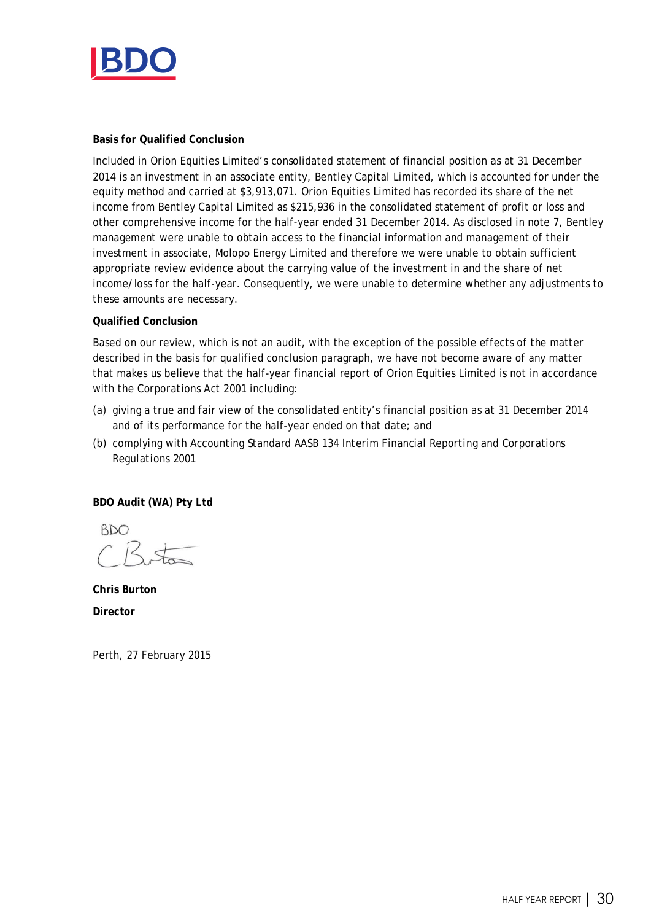

### **Basis for Qualified Conclusion**

Included in Orion Equities Limited's consolidated statement of financial position as at 31 December 2014 is an investment in an associate entity, Bentley Capital Limited, which is accounted for under the equity method and carried at \$3,913,071. Orion Equities Limited has recorded its share of the net income from Bentley Capital Limited as \$215,936 in the consolidated statement of profit or loss and other comprehensive income for the half-year ended 31 December 2014. As disclosed in note 7, Bentley management were unable to obtain access to the financial information and management of their investment in associate, Molopo Energy Limited and therefore we were unable to obtain sufficient appropriate review evidence about the carrying value of the investment in and the share of net income/loss for the half-year. Consequently, we were unable to determine whether any adjustments to these amounts are necessary.

### **Qualified Conclusion**

Based on our review, which is not an audit, with the exception of the possible effects of the matter described in the basis for qualified conclusion paragraph, we have not become aware of any matter that makes us believe that the half-year financial report of Orion Equities Limited is not in accordance with the *Corporations Act 2001* including:

- (a) giving a true and fair view of the consolidated entity's financial position as at 31 December 2014 and of its performance for the half-year ended on that date; and
- (b) complying with Accounting Standard AASB 134 *Interim Financial Reporting* and *Corporations Regulations 2001*

**BDO Audit (WA) Pty Ltd**

**BDO** 

**Chris Burton Director**

Perth, 27 February 2015